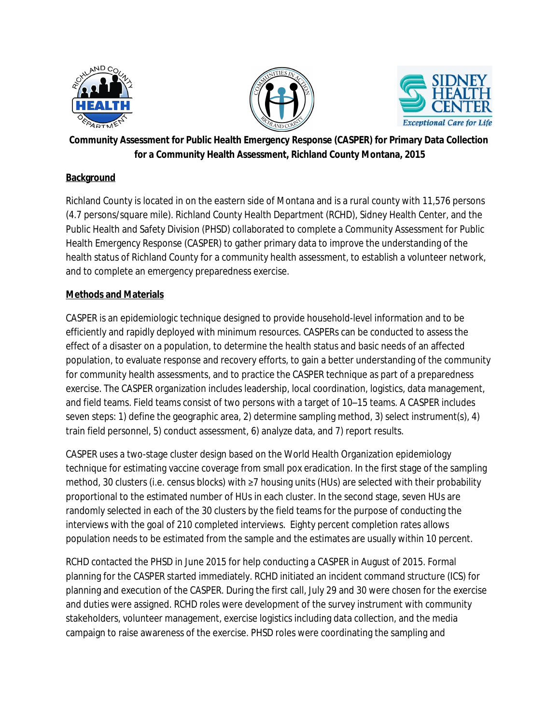





## **Community Assessment for Public Health Emergency Response (CASPER) for Primary Data Collection for a Community Health Assessment, Richland County Montana, 2015**

### **Background**

Richland County is located in on the eastern side of Montana and is a rural county with 11,576 persons (4.7 persons/square mile). Richland County Health Department (RCHD), Sidney Health Center, and the Public Health and Safety Division (PHSD) collaborated to complete a Community Assessment for Public Health Emergency Response (CASPER) to gather primary data to improve the understanding of the health status of Richland County for a community health assessment, to establish a volunteer network, and to complete an emergency preparedness exercise.

#### **Methods and Materials**

CASPER is an epidemiologic technique designed to provide household-level information and to be efficiently and rapidly deployed with minimum resources. CASPERs can be conducted to assess the effect of a disaster on a population, to determine the health status and basic needs of an affected population, to evaluate response and recovery efforts, to gain a better understanding of the community for community health assessments, and to practice the CASPER technique as part of a preparedness exercise. The CASPER organization includes leadership, local coordination, logistics, data management, and field teams. Field teams consist of two persons with a target of 10–15 teams. A CASPER includes seven steps: 1) define the geographic area, 2) determine sampling method, 3) select instrument(s), 4) train field personnel, 5) conduct assessment, 6) analyze data, and 7) report results.

CASPER uses a two-stage cluster design based on the World Health Organization epidemiology technique for estimating vaccine coverage from small pox eradication. In the first stage of the sampling method, 30 clusters (i.e. census blocks) with ≥7 housing units (HUs) are selected with their probability proportional to the estimated number of HUs in each cluster. In the second stage, seven HUs are randomly selected in each of the 30 clusters by the field teams for the purpose of conducting the interviews with the goal of 210 completed interviews. Eighty percent completion rates allows population needs to be estimated from the sample and the estimates are usually within 10 percent.

RCHD contacted the PHSD in June 2015 for help conducting a CASPER in August of 2015. Formal planning for the CASPER started immediately. RCHD initiated an incident command structure (ICS) for planning and execution of the CASPER. During the first call, July 29 and 30 were chosen for the exercise and duties were assigned. RCHD roles were development of the survey instrument with community stakeholders, volunteer management, exercise logistics including data collection, and the media campaign to raise awareness of the exercise. PHSD roles were coordinating the sampling and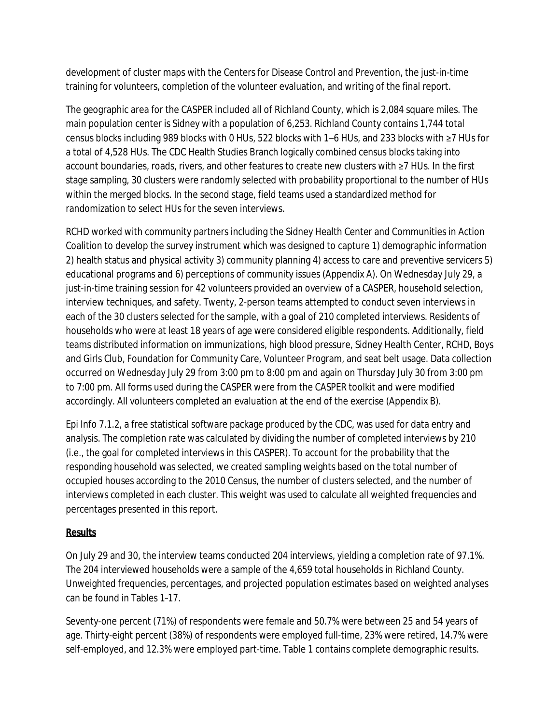development of cluster maps with the Centers for Disease Control and Prevention, the just-in-time training for volunteers, completion of the volunteer evaluation, and writing of the final report.

The geographic area for the CASPER included all of Richland County, which is 2,084 square miles. The main population center is Sidney with a population of 6,253. Richland County contains 1,744 total census blocks including 989 blocks with 0 HUs, 522 blocks with 1–6 HUs, and 233 blocks with ≥7 HUs for a total of 4,528 HUs. The CDC Health Studies Branch logically combined census blocks taking into account boundaries, roads, rivers, and other features to create new clusters with ≥7 HUs. In the first stage sampling, 30 clusters were randomly selected with probability proportional to the number of HUs within the merged blocks. In the second stage, field teams used a standardized method for randomization to select HUs for the seven interviews.

RCHD worked with community partners including the Sidney Health Center and Communities in Action Coalition to develop the survey instrument which was designed to capture 1) demographic information 2) health status and physical activity 3) community planning 4) access to care and preventive servicers 5) educational programs and 6) perceptions of community issues (Appendix A). On Wednesday July 29, a just-in-time training session for 42 volunteers provided an overview of a CASPER, household selection, interview techniques, and safety. Twenty, 2-person teams attempted to conduct seven interviews in each of the 30 clusters selected for the sample, with a goal of 210 completed interviews. Residents of households who were at least 18 years of age were considered eligible respondents. Additionally, field teams distributed information on immunizations, high blood pressure, Sidney Health Center, RCHD, Boys and Girls Club, Foundation for Community Care, Volunteer Program, and seat belt usage. Data collection occurred on Wednesday July 29 from 3:00 pm to 8:00 pm and again on Thursday July 30 from 3:00 pm to 7:00 pm. All forms used during the CASPER were from the CASPER toolkit and were modified accordingly. All volunteers completed an evaluation at the end of the exercise (Appendix B).

Epi Info 7.1.2, a free statistical software package produced by the CDC, was used for data entry and analysis. The completion rate was calculated by dividing the number of completed interviews by 210 (i.e., the goal for completed interviews in this CASPER). To account for the probability that the responding household was selected, we created sampling weights based on the total number of occupied houses according to the 2010 Census, the number of clusters selected, and the number of interviews completed in each cluster. This weight was used to calculate all weighted frequencies and percentages presented in this report.

## **Results**

On July 29 and 30, the interview teams conducted 204 interviews, yielding a completion rate of 97.1%. The 204 interviewed households were a sample of the 4,659 total households in Richland County. Unweighted frequencies, percentages, and projected population estimates based on weighted analyses can be found in Tables 1–17.

Seventy-one percent (71%) of respondents were female and 50.7% were between 25 and 54 years of age. Thirty-eight percent (38%) of respondents were employed full-time, 23% were retired, 14.7% were self-employed, and 12.3% were employed part-time. Table 1 contains complete demographic results.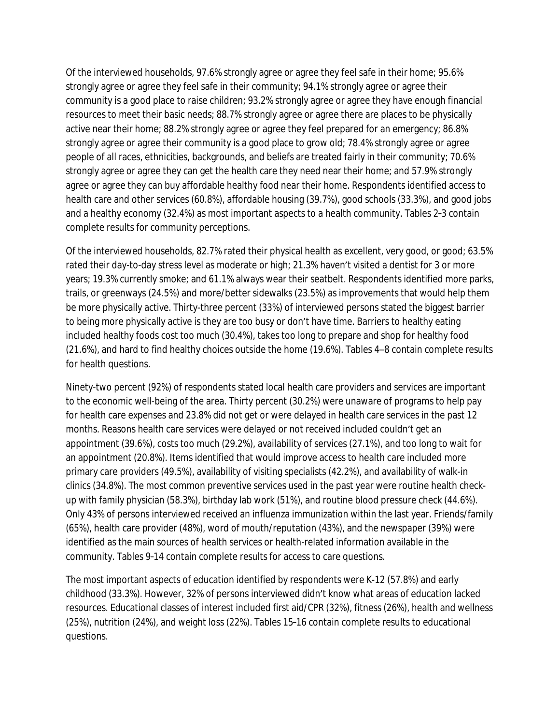Of the interviewed households, 97.6% strongly agree or agree they feel safe in their home; 95.6% strongly agree or agree they feel safe in their community; 94.1% strongly agree or agree their community is a good place to raise children; 93.2% strongly agree or agree they have enough financial resources to meet their basic needs; 88.7% strongly agree or agree there are places to be physically active near their home; 88.2% strongly agree or agree they feel prepared for an emergency; 86.8% strongly agree or agree their community is a good place to grow old; 78.4% strongly agree or agree people of all races, ethnicities, backgrounds, and beliefs are treated fairly in their community; 70.6% strongly agree or agree they can get the health care they need near their home; and 57.9% strongly agree or agree they can buy affordable healthy food near their home. Respondents identified access to health care and other services (60.8%), affordable housing (39.7%), good schools (33.3%), and good jobs and a healthy economy (32.4%) as most important aspects to a health community. Tables 2–3 contain complete results for community perceptions.

Of the interviewed households, 82.7% rated their physical health as excellent, very good, or good; 63.5% rated their day-to-day stress level as moderate or high; 21.3% haven't visited a dentist for 3 or more years; 19.3% currently smoke; and 61.1% always wear their seatbelt. Respondents identified more parks, trails, or greenways (24.5%) and more/better sidewalks (23.5%) as improvements that would help them be more physically active. Thirty-three percent (33%) of interviewed persons stated the biggest barrier to being more physically active is they are too busy or don't have time. Barriers to healthy eating included healthy foods cost too much (30.4%), takes too long to prepare and shop for healthy food (21.6%), and hard to find healthy choices outside the home (19.6%). Tables 4–8 contain complete results for health questions.

Ninety-two percent (92%) of respondents stated local health care providers and services are important to the economic well-being of the area. Thirty percent (30.2%) were unaware of programs to help pay for health care expenses and 23.8% did not get or were delayed in health care services in the past 12 months. Reasons health care services were delayed or not received included couldn't get an appointment (39.6%), costs too much (29.2%), availability of services (27.1%), and too long to wait for an appointment (20.8%). Items identified that would improve access to health care included more primary care providers (49.5%), availability of visiting specialists (42.2%), and availability of walk-in clinics (34.8%). The most common preventive services used in the past year were routine health checkup with family physician (58.3%), birthday lab work (51%), and routine blood pressure check (44.6%). Only 43% of persons interviewed received an influenza immunization within the last year. Friends/family (65%), health care provider (48%), word of mouth/reputation (43%), and the newspaper (39%) were identified as the main sources of health services or health-related information available in the community. Tables 9–14 contain complete results for access to care questions.

The most important aspects of education identified by respondents were K-12 (57.8%) and early childhood (33.3%). However, 32% of persons interviewed didn't know what areas of education lacked resources. Educational classes of interest included first aid/CPR (32%), fitness (26%), health and wellness (25%), nutrition (24%), and weight loss (22%). Tables 15–16 contain complete results to educational questions.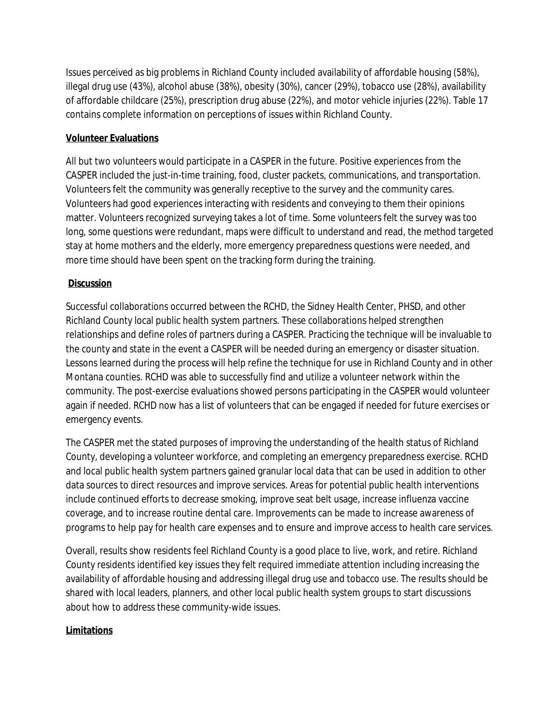Issues perceived as big problems in Richland County included availability of affordable housing (58%), illegal drug use (43%), alcohol abuse (38%), obesity (30%), cancer (29%), tobacco use (28%), availability of affordable childcare (25%), prescription drug abuse (22%), and motor vehicle injuries (22%). Table 17 contains complete information on perceptions of issues within Richland County.

## **Volunteer Evaluations**

All but two volunteers would participate in a CASPER in the future. Positive experiences from the CASPER included the just-in-time training, food, cluster packets, communications, and transportation. Volunteers felt the community was generally receptive to the survey and the community cares. Volunteers had good experiences interacting with residents and conveying to them their opinions matter. Volunteers recognized surveying takes a lot of time. Some volunteers felt the survey was too long, some questions were redundant, maps were difficult to understand and read, the method targeted stay at home mothers and the elderly, more emergency preparedness questions were needed, and more time should have been spent on the tracking form during the training.

#### **Discussion**

Successful collaborations occurred between the RCHD, the Sidney Health Center, PHSD, and other Richland County local public health system partners. These collaborations helped strengthen relationships and define roles of partners during a CASPER. Practicing the technique will be invaluable to the county and state in the event a CASPER will be needed during an emergency or disaster situation. Lessons learned during the process will help refine the technique for use in Richland County and in other Montana counties. RCHD was able to successfully find and utilize a volunteer network within the community. The post-exercise evaluations showed persons participating in the CASPER would volunteer again if needed. RCHD now has a list of volunteers that can be engaged if needed for future exercises or emergency events.

The CASPER met the stated purposes of improving the understanding of the health status of Richland County, developing a volunteer workforce, and completing an emergency preparedness exercise. RCHD and local public health system partners gained granular local data that can be used in addition to other data sources to direct resources and improve services. Areas for potential public health interventions include continued efforts to decrease smoking, improve seat belt usage, increase influenza vaccine coverage, and to increase routine dental care. Improvements can be made to increase awareness of programs to help pay for health care expenses and to ensure and improve access to health care services.

Overall, results show residents feel Richland County is a good place to live, work, and retire. Richland County residents identified key issues they felt required immediate attention including increasing the availability of affordable housing and addressing illegal drug use and tobacco use. The results should be shared with local leaders, planners, and other local public health system groups to start discussions about how to address these community-wide issues.

#### **Limitations**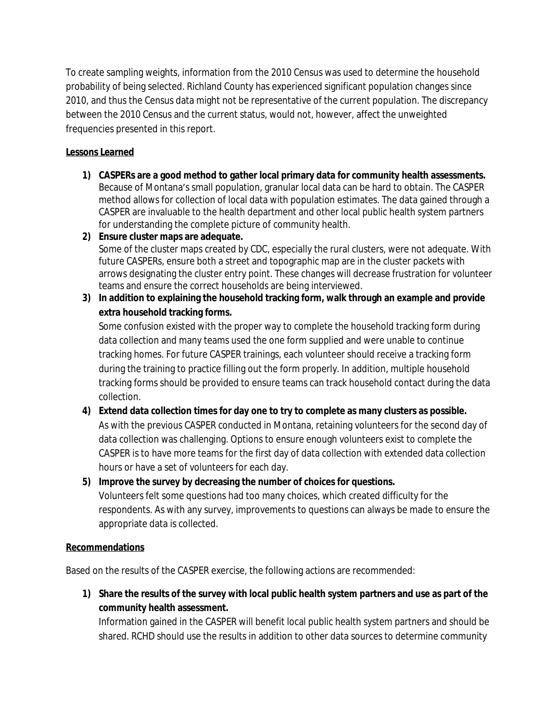To create sampling weights, information from the 2010 Census was used to determine the household probability of being selected. Richland County has experienced significant population changes since 2010, and thus the Census data might not be representative of the current population. The discrepancy between the 2010 Census and the current status, would not, however, affect the unweighted frequencies presented in this report.

## **Lessons Learned**

- **1) CASPERs are a good method to gather local primary data for community health assessments.** Because of Montana's small population, granular local data can be hard to obtain. The CASPER method allows for collection of local data with population estimates. The data gained through a CASPER are invaluable to the health department and other local public health system partners for understanding the complete picture of community health.
- **2) Ensure cluster maps are adequate.**

Some of the cluster maps created by CDC, especially the rural clusters, were not adequate. With future CASPERs, ensure both a street and topographic map are in the cluster packets with arrows designating the cluster entry point. These changes will decrease frustration for volunteer teams and ensure the correct households are being interviewed.

**3) In addition to explaining the household tracking form, walk through an example and provide extra household tracking forms.**

Some confusion existed with the proper way to complete the household tracking form during data collection and many teams used the one form supplied and were unable to continue tracking homes. For future CASPER trainings, each volunteer should receive a tracking form during the training to practice filling out the form properly. In addition, multiple household tracking forms should be provided to ensure teams can track household contact during the data collection.

## **4) Extend data collection times for day one to try to complete as many clusters as possible.** As with the previous CASPER conducted in Montana, retaining volunteers for the second day of data collection was challenging. Options to ensure enough volunteers exist to complete the CASPER is to have more teams for the first day of data collection with extended data collection hours or have a set of volunteers for each day.

#### **5) Improve the survey by decreasing the number of choices for questions.**

Volunteers felt some questions had too many choices, which created difficulty for the respondents. As with any survey, improvements to questions can always be made to ensure the appropriate data is collected.

#### **Recommendations**

Based on the results of the CASPER exercise, the following actions are recommended:

**1) Share the results of the survey with local public health system partners and use as part of the community health assessment.**

Information gained in the CASPER will benefit local public health system partners and should be shared. RCHD should use the results in addition to other data sources to determine community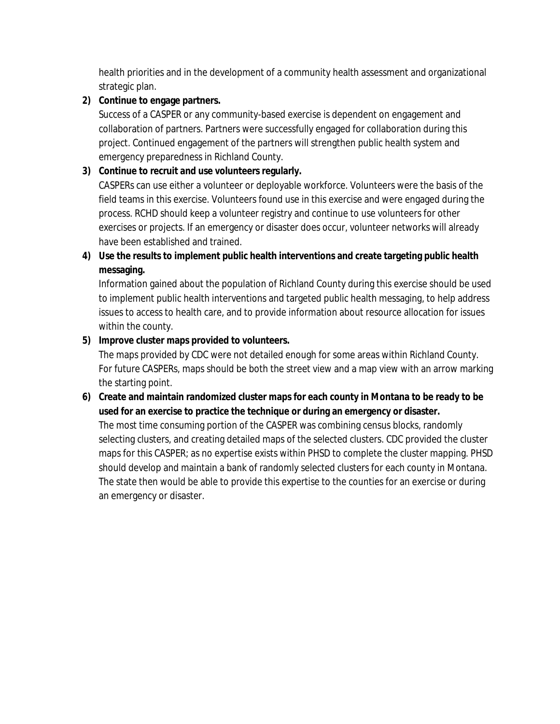health priorities and in the development of a community health assessment and organizational strategic plan.

### **2) Continue to engage partners.**

Success of a CASPER or any community-based exercise is dependent on engagement and collaboration of partners. Partners were successfully engaged for collaboration during this project. Continued engagement of the partners will strengthen public health system and emergency preparedness in Richland County.

## **3) Continue to recruit and use volunteers regularly.**

CASPERs can use either a volunteer or deployable workforce. Volunteers were the basis of the field teams in this exercise. Volunteers found use in this exercise and were engaged during the process. RCHD should keep a volunteer registry and continue to use volunteers for other exercises or projects. If an emergency or disaster does occur, volunteer networks will already have been established and trained.

## **4) Use the results to implement public health interventions and create targeting public health messaging.**

Information gained about the population of Richland County during this exercise should be used to implement public health interventions and targeted public health messaging, to help address issues to access to health care, and to provide information about resource allocation for issues within the county.

### **5) Improve cluster maps provided to volunteers.**

The maps provided by CDC were not detailed enough for some areas within Richland County. For future CASPERs, maps should be both the street view and a map view with an arrow marking the starting point.

## **6) Create and maintain randomized cluster maps for each county in Montana to be ready to be used for an exercise to practice the technique or during an emergency or disaster.**

The most time consuming portion of the CASPER was combining census blocks, randomly selecting clusters, and creating detailed maps of the selected clusters. CDC provided the cluster maps for this CASPER; as no expertise exists within PHSD to complete the cluster mapping. PHSD should develop and maintain a bank of randomly selected clusters for each county in Montana. The state then would be able to provide this expertise to the counties for an exercise or during an emergency or disaster.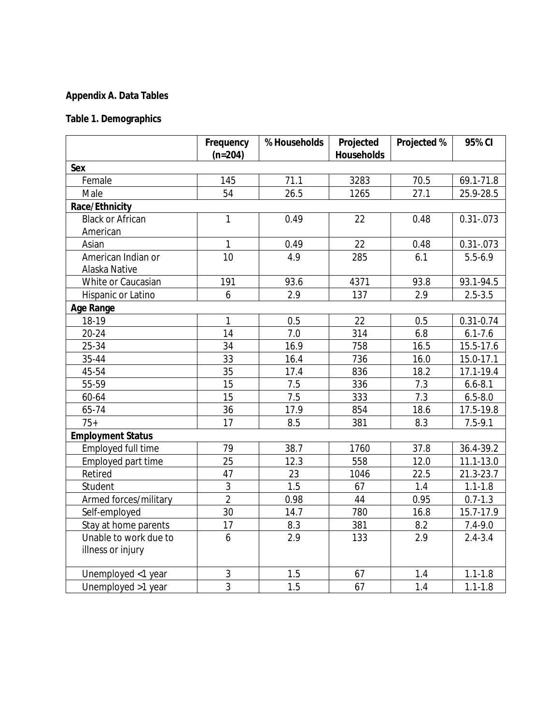## **Appendix A. Data Tables**

## **Table 1. Demographics**

|                                            | Frequency<br>$(n=204)$ | % Households | Projected<br><b>Households</b> | Projected % | 95% CI        |
|--------------------------------------------|------------------------|--------------|--------------------------------|-------------|---------------|
| Sex                                        |                        |              |                                |             |               |
| Female                                     | 145                    | 71.1         | 3283                           | 70.5        | 69.1-71.8     |
| Male                                       | 54                     | 26.5         | 1265                           | 27.1        | 25.9-28.5     |
| Race/Ethnicity                             |                        |              |                                |             |               |
| <b>Black or African</b>                    | $\mathbf{1}$           | 0.49         | 22                             | 0.48        | $0.31 - 073$  |
| American                                   |                        |              |                                |             |               |
| Asian                                      | $\mathbf{1}$           | 0.49         | 22                             | 0.48        | $0.31 - 073$  |
| American Indian or<br>Alaska Native        | 10                     | 4.9          | 285                            | 6.1         | $5.5 - 6.9$   |
| White or Caucasian                         | 191                    | 93.6         | 4371                           | 93.8        | 93.1-94.5     |
| Hispanic or Latino                         | 6                      | 2.9          | 137                            | 2.9         | $2.5 - 3.5$   |
| <b>Age Range</b>                           |                        |              |                                |             |               |
| 18-19                                      | $\mathbf{1}$           | 0.5          | 22                             | 0.5         | $0.31 - 0.74$ |
| $20 - 24$                                  | 14                     | 7.0          | 314                            | 6.8         | $6.1 - 7.6$   |
| 25-34                                      | 34                     | 16.9         | 758                            | 16.5        | 15.5-17.6     |
| 35-44                                      | 33                     | 16.4         | 736                            | 16.0        | 15.0-17.1     |
| 45-54                                      | 35                     | 17.4         | 836                            | 18.2        | 17.1-19.4     |
| 55-59                                      | 15                     | 7.5          | 336                            | 7.3         | $6.6 - 8.1$   |
| 60-64                                      | 15                     | 7.5          | 333                            | 7.3         | $6.5 - 8.0$   |
| 65-74                                      | 36                     | 17.9         | 854                            | 18.6        | 17.5-19.8     |
| $75+$                                      | 17                     | 8.5          | 381                            | 8.3         | $7.5 - 9.1$   |
| <b>Employment Status</b>                   |                        |              |                                |             |               |
| Employed full time                         | 79                     | 38.7         | 1760                           | 37.8        | 36.4-39.2     |
| Employed part time                         | 25                     | 12.3         | 558                            | 12.0        | $11.1 - 13.0$ |
| Retired                                    | 47                     | 23           | 1046                           | 22.5        | 21.3-23.7     |
| Student                                    | 3                      | 1.5          | 67                             | 1.4         | $1.1 - 1.8$   |
| Armed forces/military                      | $\overline{2}$         | 0.98         | 44                             | 0.95        | $0.7 - 1.3$   |
| Self-employed                              | 30                     | 14.7         | 780                            | 16.8        | 15.7-17.9     |
| Stay at home parents                       | 17                     | 8.3          | 381                            | 8.2         | $7.4 - 9.0$   |
| Unable to work due to<br>illness or injury | 6                      | 2.9          | 133                            | 2.9         | $2.4 - 3.4$   |
| Unemployed <1 year                         | 3                      | 1.5          | 67                             | 1.4         | $1.1 - 1.8$   |
| Unemployed >1 year                         | $\overline{3}$         | 1.5          | 67                             | 1.4         | $1.1 - 1.8$   |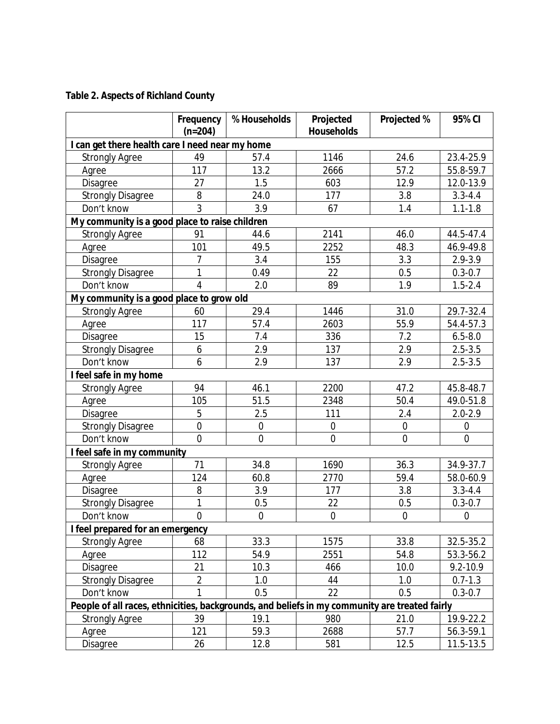## **Table 2. Aspects of Richland County**

|                                                                                               | Frequency<br>$(n=204)$ | % Households     | Projected<br><b>Households</b> | Projected %    | 95% CI      |  |  |  |  |
|-----------------------------------------------------------------------------------------------|------------------------|------------------|--------------------------------|----------------|-------------|--|--|--|--|
| I can get there health care I need near my home                                               |                        |                  |                                |                |             |  |  |  |  |
| <b>Strongly Agree</b>                                                                         | 49                     | 57.4             | 1146                           | 24.6           | 23.4-25.9   |  |  |  |  |
| Agree                                                                                         | 117                    | 13.2             | 2666                           | 57.2           | 55.8-59.7   |  |  |  |  |
| Disagree                                                                                      | 27                     | 1.5              | 603                            | 12.9           | 12.0-13.9   |  |  |  |  |
| <b>Strongly Disagree</b>                                                                      | 8                      | 24.0             | 177                            | 3.8            | $3.3 - 4.4$ |  |  |  |  |
| Don't know                                                                                    | 3                      | 3.9              | 67                             | 1.4            | $1.1 - 1.8$ |  |  |  |  |
| My community is a good place to raise children                                                |                        |                  |                                |                |             |  |  |  |  |
| <b>Strongly Agree</b>                                                                         | 91                     | 44.6             | 2141                           | 46.0           | 44.5-47.4   |  |  |  |  |
| Agree                                                                                         | 101                    | 49.5             | 2252                           | 48.3           | 46.9-49.8   |  |  |  |  |
| Disagree                                                                                      | 7                      | 3.4              | 155                            | 3.3            | 2.9-3.9     |  |  |  |  |
| <b>Strongly Disagree</b>                                                                      | 1                      | 0.49             | 22                             | 0.5            | $0.3 - 0.7$ |  |  |  |  |
| Don't know                                                                                    | $\overline{4}$         | 2.0              | 89                             | 1.9            | $1.5 - 2.4$ |  |  |  |  |
| My community is a good place to grow old                                                      |                        |                  |                                |                |             |  |  |  |  |
| <b>Strongly Agree</b>                                                                         | 60                     | 29.4             | 1446                           | 31.0           | 29.7-32.4   |  |  |  |  |
| Agree                                                                                         | 117                    | 57.4             | 2603                           | 55.9           | 54.4-57.3   |  |  |  |  |
| Disagree                                                                                      | 15                     | 7.4              | 336                            | 7.2            | $6.5 - 8.0$ |  |  |  |  |
| <b>Strongly Disagree</b>                                                                      | 6                      | 2.9              | 137                            | 2.9            | $2.5 - 3.5$ |  |  |  |  |
| Don't know                                                                                    | 6                      | 2.9              | 137                            | 2.9            | $2.5 - 3.5$ |  |  |  |  |
| I feel safe in my home                                                                        |                        |                  |                                |                |             |  |  |  |  |
| <b>Strongly Agree</b>                                                                         | 94                     | 46.1             | 2200                           | 47.2           | 45.8-48.7   |  |  |  |  |
| Agree                                                                                         | 105                    | 51.5             | 2348                           | 50.4           | 49.0-51.8   |  |  |  |  |
| Disagree                                                                                      | 5                      | 2.5              | 111                            | 2.4            | $2.0 - 2.9$ |  |  |  |  |
| <b>Strongly Disagree</b>                                                                      | $\overline{0}$         | $\boldsymbol{0}$ | $\mathbf 0$                    | $\overline{0}$ | $\mathbf 0$ |  |  |  |  |
| Don't know                                                                                    | $\overline{0}$         | $\boldsymbol{0}$ | $\mathbf 0$                    | $\mathbf 0$    | $\mathbf 0$ |  |  |  |  |
| I feel safe in my community                                                                   |                        |                  |                                |                |             |  |  |  |  |
| <b>Strongly Agree</b>                                                                         | 71                     | 34.8             | 1690                           | 36.3           | 34.9-37.7   |  |  |  |  |
| Agree                                                                                         | 124                    | 60.8             | 2770                           | 59.4           | 58.0-60.9   |  |  |  |  |
| Disagree                                                                                      | 8                      | 3.9              | 177                            | 3.8            | $3.3 - 4.4$ |  |  |  |  |
| <b>Strongly Disagree</b>                                                                      | 1                      | 0.5              | 22                             | 0.5            | $0.3 - 0.7$ |  |  |  |  |
| Don't know                                                                                    | $\overline{0}$         | $\boldsymbol{0}$ | $\overline{0}$                 | $\overline{0}$ | $\mathbf 0$ |  |  |  |  |
| I feel prepared for an emergency                                                              |                        |                  |                                |                |             |  |  |  |  |
| <b>Strongly Agree</b>                                                                         | 68                     | 33.3             | 1575                           | 33.8           | 32.5-35.2   |  |  |  |  |
| Agree                                                                                         | 112                    | 54.9             | 2551                           | 54.8           | 53.3-56.2   |  |  |  |  |
| Disagree                                                                                      | 21                     | 10.3             | 466                            | 10.0           | 9.2-10.9    |  |  |  |  |
| <b>Strongly Disagree</b>                                                                      | $\overline{2}$         | 1.0              | 44                             | 1.0            | $0.7 - 1.3$ |  |  |  |  |
| Don't know                                                                                    | 1                      | 0.5              | 22                             | 0.5            | $0.3 - 0.7$ |  |  |  |  |
| People of all races, ethnicities, backgrounds, and beliefs in my community are treated fairly |                        |                  |                                |                |             |  |  |  |  |
| <b>Strongly Agree</b>                                                                         | 39                     | 19.1             | 980                            | 21.0           | 19.9-22.2   |  |  |  |  |
| Agree                                                                                         | 121                    | 59.3             | 2688                           | 57.7           | 56.3-59.1   |  |  |  |  |
| Disagree                                                                                      | 26                     | 12.8             | 581                            | 12.5           | 11.5-13.5   |  |  |  |  |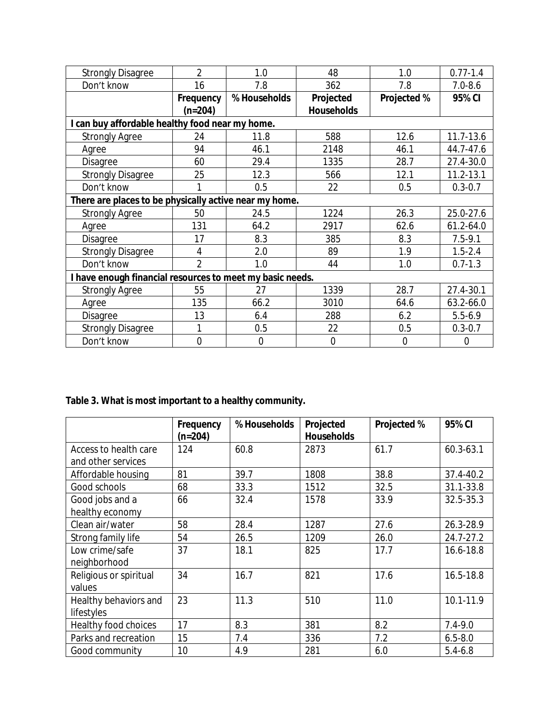| <b>Strongly Disagree</b>                                  | 2              | 1.0              | 48                | 1.0            | $0.77 - 1.4$   |
|-----------------------------------------------------------|----------------|------------------|-------------------|----------------|----------------|
| Don't know                                                | 16             | 7.8              | 362               | 7.8            | $7.0 - 8.6$    |
|                                                           | Frequency      | % Households     | Projected         | Projected %    | 95% CI         |
|                                                           | $(n=204)$      |                  | <b>Households</b> |                |                |
| I can buy affordable healthy food near my home.           |                |                  |                   |                |                |
| <b>Strongly Agree</b>                                     | 24             | 11.8             | 588               | 12.6           | 11.7-13.6      |
| Agree                                                     | 94             | 46.1             | 2148              | 46.1           | 44.7-47.6      |
| Disagree                                                  | 60             | 29.4             | 1335              | 28.7           | 27.4-30.0      |
| <b>Strongly Disagree</b>                                  | 25             | 12.3             | 566               | 12.1           | $11.2 - 13.1$  |
| Don't know                                                |                | 0.5              | 22                | 0.5            | $0.3 - 0.7$    |
| There are places to be physically active near my home.    |                |                  |                   |                |                |
| <b>Strongly Agree</b>                                     | 50             | 24.5             | 1224              | 26.3           | 25.0-27.6      |
| Agree                                                     | 131            | 64.2             | 2917              | 62.6           | 61.2-64.0      |
| Disagree                                                  | 17             | 8.3              | 385               | 8.3            | $7.5 - 9.1$    |
| <b>Strongly Disagree</b>                                  | 4              | 2.0              | 89                | 1.9            | $1.5 - 2.4$    |
| Don't know                                                | $\mathfrak{D}$ | 1.0              | 44                | 1.0            | $0.7 - 1.3$    |
| I have enough financial resources to meet my basic needs. |                |                  |                   |                |                |
| <b>Strongly Agree</b>                                     | 55             | 27               | 1339              | 28.7           | 27.4-30.1      |
| Agree                                                     | 135            | 66.2             | 3010              | 64.6           | 63.2-66.0      |
| Disagree                                                  | 13             | 6.4              | 288               | 6.2            | $5.5 - 6.9$    |
| <b>Strongly Disagree</b>                                  |                | 0.5              | 22                | 0.5            | $0.3 - 0.7$    |
| Don't know                                                | 0              | $\boldsymbol{0}$ | $\mathbf 0$       | $\overline{0}$ | $\overline{0}$ |

**Table 3. What is most important to a healthy community.**

|                        | Frequency<br>$(n=204)$ | % Households | Projected<br><b>Households</b> | Projected % | 95% CI      |
|------------------------|------------------------|--------------|--------------------------------|-------------|-------------|
| Access to health care  | 124                    | 60.8         | 2873                           | 61.7        | 60.3-63.1   |
| and other services     |                        |              |                                |             |             |
| Affordable housing     | 81                     | 39.7         | 1808                           | 38.8        | 37.4-40.2   |
| Good schools           | 68                     | 33.3         | 1512                           | 32.5        | 31.1-33.8   |
| Good jobs and a        | 66                     | 32.4         | 1578                           | 33.9        | 32.5-35.3   |
| healthy economy        |                        |              |                                |             |             |
| Clean air/water        | 58                     | 28.4         | 1287                           | 27.6        | 26.3-28.9   |
| Strong family life     | 54                     | 26.5         | 1209                           | 26.0        | 24.7-27.2   |
| Low crime/safe         | 37                     | 18.1         | 825                            | 17.7        | 16.6-18.8   |
| neighborhood           |                        |              |                                |             |             |
| Religious or spiritual | 34                     | 16.7         | 821                            | 17.6        | 16.5-18.8   |
| values                 |                        |              |                                |             |             |
| Healthy behaviors and  | 23                     | 11.3         | 510                            | 11.0        | 10.1-11.9   |
| lifestyles             |                        |              |                                |             |             |
| Healthy food choices   | 17                     | 8.3          | 381                            | 8.2         | $7.4 - 9.0$ |
| Parks and recreation   | 15                     | 7.4          | 336                            | 7.2         | $6.5 - 8.0$ |
| Good community         | 10                     | 4.9          | 281                            | 6.0         | $5.4 - 6.8$ |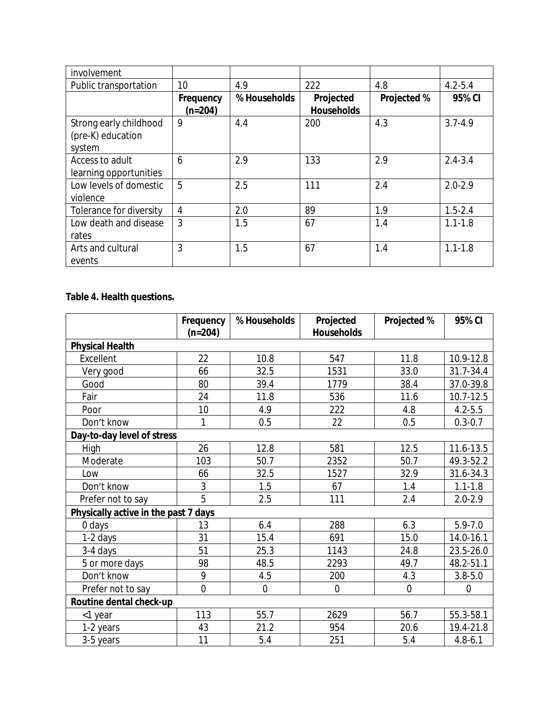| involvement             |           |              |                   |             |             |
|-------------------------|-----------|--------------|-------------------|-------------|-------------|
| Public transportation   | 10        | 4.9          | 222               | 4.8         | $4.2 - 5.4$ |
|                         | Frequency | % Households | Projected         | Projected % | 95% CI      |
|                         | $(n=204)$ |              | <b>Households</b> |             |             |
| Strong early childhood  | 9         | 4.4          | 200               | 4.3         | $3.7 - 4.9$ |
| (pre-K) education       |           |              |                   |             |             |
| system                  |           |              |                   |             |             |
| Access to adult         | 6         | 2.9          | 133               | 2.9         | $2.4 - 3.4$ |
| learning opportunities  |           |              |                   |             |             |
| Low levels of domestic  | 5         | 2.5          | 111               | 2.4         | $2.0 - 2.9$ |
| violence                |           |              |                   |             |             |
| Tolerance for diversity | 4         | 2.0          | 89                | 1.9         | $1.5 - 2.4$ |
| Low death and disease   | 3         | 1.5          | 67                | 1.4         | $1.1 - 1.8$ |
| rates                   |           |              |                   |             |             |
| Arts and cultural       | 3         | 1.5          | 67                | 1.4         | $1.1 - 1.8$ |
| events                  |           |              |                   |             |             |

## **Table 4. Health questions.**

|                                      | Frequency<br>$(n=204)$ | % Households   | Projected<br><b>Households</b> | Projected %    | 95% CI      |
|--------------------------------------|------------------------|----------------|--------------------------------|----------------|-------------|
| <b>Physical Health</b>               |                        |                |                                |                |             |
| Excellent                            | 22                     | 10.8           | 547                            | 11.8           | 10.9-12.8   |
| Very good                            | 66                     | 32.5           | 1531                           | 33.0           | 31.7-34.4   |
| Good                                 | 80                     | 39.4           | 1779                           | 38.4           | 37.0-39.8   |
| Fair                                 | 24                     | 11.8           | 536                            | 11.6           | 10.7-12.5   |
| Poor                                 | 10                     | 4.9            | 222                            | 4.8            | $4.2 - 5.5$ |
| Don't know                           | 1                      | 0.5            | 22                             | 0.5            | $0.3 - 0.7$ |
| Day-to-day level of stress           |                        |                |                                |                |             |
| High                                 | 26                     | 12.8           | 581                            | 12.5           | 11.6-13.5   |
| Moderate                             | 103                    | 50.7           | 2352                           | 50.7           | 49.3-52.2   |
| Low                                  | 66                     | 32.5           | 1527                           | 32.9           | 31.6-34.3   |
| Don't know                           | 3                      | 1.5            | 67                             | 1.4            | $1.1 - 1.8$ |
| Prefer not to say                    | 5                      | 2.5            | 111                            | 2.4            | $2.0 - 2.9$ |
| Physically active in the past 7 days |                        |                |                                |                |             |
| 0 days                               | 13                     | 6.4            | 288                            | 6.3            | $5.9 - 7.0$ |
| 1-2 days                             | 31                     | 15.4           | 691                            | 15.0           | 14.0-16.1   |
| 3-4 days                             | 51                     | 25.3           | 1143                           | 24.8           | 23.5-26.0   |
| 5 or more days                       | 98                     | 48.5           | 2293                           | 49.7           | 48.2-51.1   |
| Don't know                           | 9                      | 4.5            | 200                            | 4.3            | $3.8 - 5.0$ |
| Prefer not to say                    | $\overline{0}$         | $\overline{0}$ | $\overline{0}$                 | $\overline{0}$ | $\mathbf 0$ |
| Routine dental check-up              |                        |                |                                |                |             |
| <1 year                              | 113                    | 55.7           | 2629                           | 56.7           | 55.3-58.1   |
| 1-2 years                            | 43                     | 21.2           | 954                            | 20.6           | 19.4-21.8   |
| 3-5 years                            | 11                     | 5.4            | 251                            | 5.4            | $4.8 - 6.1$ |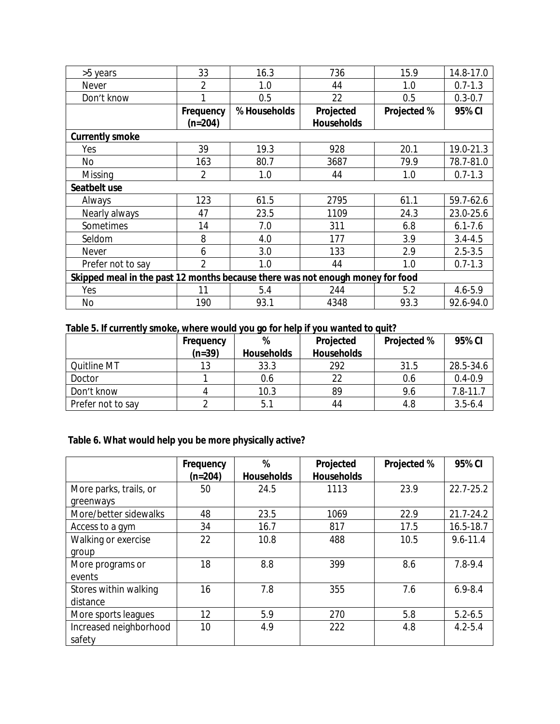| >5 years                                                                       | 33             | 16.3         | 736               | 15.9               | 14.8-17.0   |
|--------------------------------------------------------------------------------|----------------|--------------|-------------------|--------------------|-------------|
| Never                                                                          | 2              | 1.0          | 44                | 1.0                | $0.7 - 1.3$ |
| Don't know                                                                     |                | 0.5          | 22                | 0.5                | $0.3 - 0.7$ |
|                                                                                | Frequency      | % Households | Projected         | <b>Projected %</b> | 95% CI      |
|                                                                                | $(n=204)$      |              | <b>Households</b> |                    |             |
| <b>Currently smoke</b>                                                         |                |              |                   |                    |             |
| Yes                                                                            | 39             | 19.3         | 928               | 20.1               | 19.0-21.3   |
| No                                                                             | 163            | 80.7         | 3687              | 79.9               | 78.7-81.0   |
| Missing                                                                        | 2              | 1.0          | 44                | 1.0                | $0.7 - 1.3$ |
| Seatbelt use                                                                   |                |              |                   |                    |             |
| Always                                                                         | 123            | 61.5         | 2795              | 61.1               | 59.7-62.6   |
| Nearly always                                                                  | 47             | 23.5         | 1109              | 24.3               | 23.0-25.6   |
| Sometimes                                                                      | 14             | 7.0          | 311               | 6.8                | $6.1 - 7.6$ |
| Seldom                                                                         | 8              | 4.0          | 177               | 3.9                | $3.4 - 4.5$ |
| Never                                                                          | 6              | 3.0          | 133               | 2.9                | $2.5 - 3.5$ |
| Prefer not to say                                                              | $\overline{2}$ | 1.0          | 44                | 1.0                | $0.7 - 1.3$ |
| Skipped meal in the past 12 months because there was not enough money for food |                |              |                   |                    |             |
| Yes                                                                            | 11             | 5.4          | 244               | 5.2                | $4.6 - 5.9$ |
| No                                                                             | 190            | 93.1         | 4348              | 93.3               | 92.6-94.0   |

### **Table 5. If currently smoke, where would you go for help if you wanted to quit?**

|                    | Frequency | %          | Projected         | <b>Projected %</b> | 95% CI       |
|--------------------|-----------|------------|-------------------|--------------------|--------------|
|                    | $(n=39)$  | Households | <b>Households</b> |                    |              |
| <b>Quitline MT</b> | 13        | 33.3       | 292               | 31.5               | 28.5-34.6    |
| Doctor             |           | 0.6        | 22                | 0.6                | $0.4 - 0.9$  |
| Don't know         |           | 10.3       | 89                | 9.6                | $7.8 - 11.7$ |
| Prefer not to say  |           | 5.1        | 44                | 4.8                | $3.5 - 6.4$  |

## **Table 6. What would help you be more physically active?**

|                        | Frequency | %                 | Projected         | <b>Projected %</b> | 95% CI       |
|------------------------|-----------|-------------------|-------------------|--------------------|--------------|
|                        | $(n=204)$ | <b>Households</b> | <b>Households</b> |                    |              |
| More parks, trails, or | 50        | 24.5              | 1113              | 23.9               | 22.7-25.2    |
| greenways              |           |                   |                   |                    |              |
| More/better sidewalks  | 48        | 23.5              | 1069              | 22.9               | 21.7-24.2    |
| Access to a gym        | 34        | 16.7              | 817               | 17.5               | 16.5-18.7    |
| Walking or exercise    | 22        | 10.8              | 488               | 10.5               | $9.6 - 11.4$ |
| group                  |           |                   |                   |                    |              |
| More programs or       | 18        | 8.8               | 399               | 8.6                | $7.8 - 9.4$  |
| events                 |           |                   |                   |                    |              |
| Stores within walking  | 16        | 7.8               | 355               | 7.6                | $6.9 - 8.4$  |
| distance               |           |                   |                   |                    |              |
| More sports leagues    | 12        | 5.9               | 270               | 5.8                | $5.2 - 6.5$  |
| Increased neighborhood | 10        | 4.9               | 222               | 4.8                | $4.2 - 5.4$  |
| safety                 |           |                   |                   |                    |              |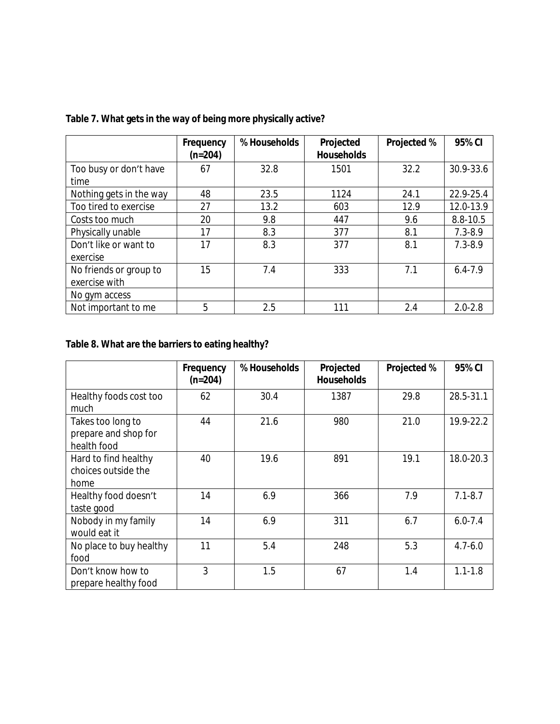|                                         | Frequency<br>$(n=204)$ | % Households | Projected<br><b>Households</b> | Projected % | 95% CI      |
|-----------------------------------------|------------------------|--------------|--------------------------------|-------------|-------------|
| Too busy or don't have<br>time          | 67                     | 32.8         | 1501                           | 32.2        | 30.9-33.6   |
| Nothing gets in the way                 | 48                     | 23.5         | 1124                           | 24.1        | 22.9-25.4   |
| Too tired to exercise                   | 27                     | 13.2         | 603                            | 12.9        | 12.0-13.9   |
| Costs too much                          | 20                     | 9.8          | 447                            | 9.6         | 8.8-10.5    |
| Physically unable                       | 17                     | 8.3          | 377                            | 8.1         | $7.3 - 8.9$ |
| Don't like or want to<br>exercise       | 17                     | 8.3          | 377                            | 8.1         | $7.3 - 8.9$ |
| No friends or group to<br>exercise with | 15                     | 7.4          | 333                            | 7.1         | $6.4 - 7.9$ |
| No gym access                           |                        |              |                                |             |             |
| Not important to me                     | 5                      | 2.5          | 111                            | 2.4         | $2.0 - 2.8$ |

## **Table 7. What gets in the way of being more physically active?**

# **Table 8. What are the barriers to eating healthy?**

|                                                          | Frequency<br>$(n=204)$ | % Households | Projected<br><b>Households</b> | <b>Projected %</b> | 95% CI      |
|----------------------------------------------------------|------------------------|--------------|--------------------------------|--------------------|-------------|
| Healthy foods cost too<br>much                           | 62                     | 30.4         | 1387                           | 29.8               | 28.5-31.1   |
| Takes too long to<br>prepare and shop for<br>health food | 44                     | 21.6         | 980                            | 21.0               | 19.9-22.2   |
| Hard to find healthy<br>choices outside the<br>home      | 40                     | 19.6         | 891                            | 19.1               | 18.0-20.3   |
| Healthy food doesn't<br>taste good                       | 14                     | 6.9          | 366                            | 7.9                | $7.1 - 8.7$ |
| Nobody in my family<br>would eat it                      | 14                     | 6.9          | 311                            | 6.7                | $6.0 - 7.4$ |
| No place to buy healthy<br>food                          | 11                     | 5.4          | 248                            | 5.3                | $4.7 - 6.0$ |
| Don't know how to<br>prepare healthy food                | 3                      | 1.5          | 67                             | 1.4                | $1.1 - 1.8$ |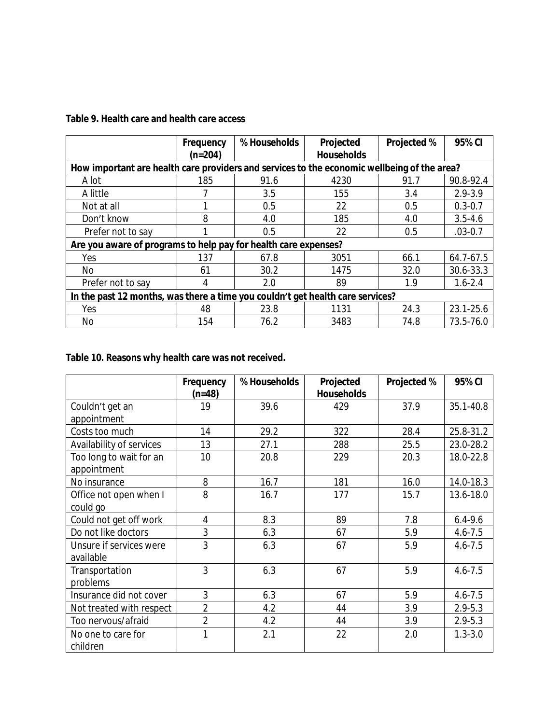### **Table 9. Health care and health care access**

|                                                                                             | Frequency<br>$(n=204)$                                                         | % Households | Projected<br><b>Households</b> | <b>Projected %</b> | 95% CI      |  |  |  |
|---------------------------------------------------------------------------------------------|--------------------------------------------------------------------------------|--------------|--------------------------------|--------------------|-------------|--|--|--|
| How important are health care providers and services to the economic wellbeing of the area? |                                                                                |              |                                |                    |             |  |  |  |
| A lot                                                                                       | 185                                                                            | 91.6         | 4230                           | 91.7               | 90.8-92.4   |  |  |  |
| A little                                                                                    |                                                                                | 3.5          | 155                            | 3.4                | $2.9 - 3.9$ |  |  |  |
| Not at all                                                                                  |                                                                                | 0.5          | 22                             | 0.5                | $0.3 - 0.7$ |  |  |  |
| Don't know                                                                                  | 8                                                                              | 4.0          | 185                            | 4.0                | $3.5 - 4.6$ |  |  |  |
| Prefer not to say                                                                           |                                                                                | 0.5          | 22                             | 0.5                | $.03 - 0.7$ |  |  |  |
| Are you aware of programs to help pay for health care expenses?                             |                                                                                |              |                                |                    |             |  |  |  |
| Yes                                                                                         | 137                                                                            | 67.8         | 3051                           | 66.1               | 64.7-67.5   |  |  |  |
| No                                                                                          | 61                                                                             | 30.2         | 1475                           | 32.0               | 30.6-33.3   |  |  |  |
| Prefer not to say                                                                           | 4                                                                              | 2.0          | 89                             | 1.9                | $1.6 - 2.4$ |  |  |  |
|                                                                                             | In the past 12 months, was there a time you couldn't get health care services? |              |                                |                    |             |  |  |  |
| Yes                                                                                         | 48                                                                             | 23.8         | 1131                           | 24.3               | 23.1-25.6   |  |  |  |
| No                                                                                          | 154                                                                            | 76.2         | 3483                           | 74.8               | 73.5-76.0   |  |  |  |

## **Table 10. Reasons why health care was not received.**

|                                        | Frequency      | % Households | Projected<br><b>Households</b> | Projected % | 95% CI      |
|----------------------------------------|----------------|--------------|--------------------------------|-------------|-------------|
| Couldn't get an<br>appointment         | $(n=48)$<br>19 | 39.6         | 429                            | 37.9        | 35.1-40.8   |
| Costs too much                         | 14             | 29.2         | 322                            | 28.4        | 25.8-31.2   |
| Availability of services               | 13             | 27.1         | 288                            | 25.5        | 23.0-28.2   |
| Too long to wait for an<br>appointment | 10             | 20.8         | 229                            | 20.3        | 18.0-22.8   |
| No insurance                           | 8              | 16.7         | 181                            | 16.0        | 14.0-18.3   |
| Office not open when I<br>could go     | 8              | 16.7         | 177                            | 15.7        | 13.6-18.0   |
| Could not get off work                 | 4              | 8.3          | 89                             | 7.8         | $6.4 - 9.6$ |
| Do not like doctors                    | 3              | 6.3          | 67                             | 5.9         | $4.6 - 7.5$ |
| Unsure if services were<br>available   | 3              | 6.3          | 67                             | 5.9         | $4.6 - 7.5$ |
| Transportation<br>problems             | 3              | 6.3          | 67                             | 5.9         | $4.6 - 7.5$ |
| Insurance did not cover                | 3              | 6.3          | 67                             | 5.9         | $4.6 - 7.5$ |
| Not treated with respect               | $\overline{2}$ | 4.2          | 44                             | 3.9         | $2.9 - 5.3$ |
| Too nervous/afraid                     | $\overline{2}$ | 4.2          | 44                             | 3.9         | $2.9 - 5.3$ |
| No one to care for<br>children         | 1              | 2.1          | 22                             | 2.0         | $1.3 - 3.0$ |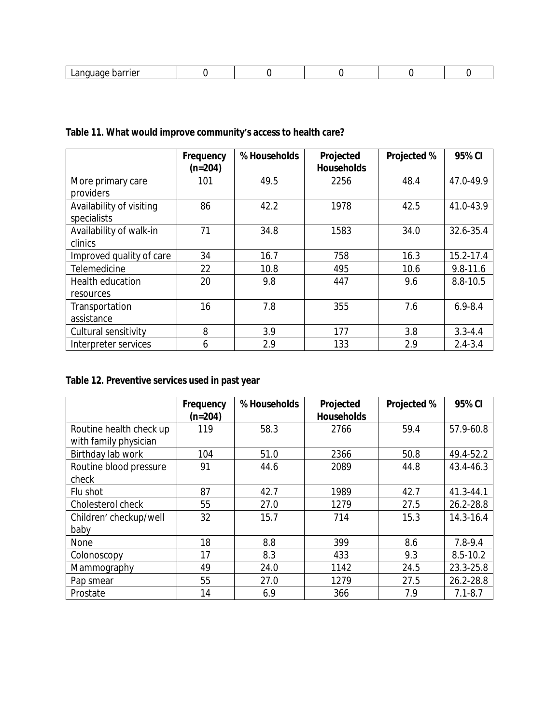## **Table 11. What would improve community's access to health care?**

|                                         | Frequency<br>$(n=204)$ | % Households | Projected<br><b>Households</b> | Projected % | 95% CI       |
|-----------------------------------------|------------------------|--------------|--------------------------------|-------------|--------------|
| More primary care<br>providers          | 101                    | 49.5         | 2256                           | 48.4        | 47.0-49.9    |
| Availability of visiting<br>specialists | 86                     | 42.2         | 1978                           | 42.5        | 41.0-43.9    |
| Availability of walk-in<br>clinics      | 71                     | 34.8         | 1583                           | 34.0        | 32.6-35.4    |
| Improved quality of care                | 34                     | 16.7         | 758                            | 16.3        | 15.2-17.4    |
| Telemedicine                            | 22                     | 10.8         | 495                            | 10.6        | $9.8 - 11.6$ |
| Health education<br>resources           | 20                     | 9.8          | 447                            | 9.6         | 8.8-10.5     |
| Transportation<br>assistance            | 16                     | 7.8          | 355                            | 7.6         | $6.9 - 8.4$  |
| Cultural sensitivity                    | 8                      | 3.9          | 177                            | 3.8         | $3.3 - 4.4$  |
| Interpreter services                    | 6                      | 2.9          | 133                            | 2.9         | $2.4 - 3.4$  |

## **Table 12. Preventive services used in past year**

|                         | Frequency | % Households | Projected         | <b>Projected %</b> | 95% CI       |
|-------------------------|-----------|--------------|-------------------|--------------------|--------------|
|                         | $(n=204)$ |              | <b>Households</b> |                    |              |
| Routine health check up | 119       | 58.3         | 2766              | 59.4               | 57.9-60.8    |
| with family physician   |           |              |                   |                    |              |
| Birthday lab work       | 104       | 51.0         | 2366              | 50.8               | 49.4-52.2    |
| Routine blood pressure  | 91        | 44.6         | 2089              | 44.8               | 43.4-46.3    |
| check                   |           |              |                   |                    |              |
| Flu shot                | 87        | 42.7         | 1989              | 42.7               | 41.3-44.1    |
| Cholesterol check       | 55        | 27.0         | 1279              | 27.5               | 26.2-28.8    |
| Children' checkup/well  | 32        | 15.7         | 714               | 15.3               | 14.3-16.4    |
| baby                    |           |              |                   |                    |              |
| None                    | 18        | 8.8          | 399               | 8.6                | 7.8-9.4      |
| Colonoscopy             | 17        | 8.3          | 433               | 9.3                | $8.5 - 10.2$ |
| Mammography             | 49        | 24.0         | 1142              | 24.5               | 23.3-25.8    |
| Pap smear               | 55        | 27.0         | 1279              | 27.5               | 26.2-28.8    |
| Prostate                | 14        | 6.9          | 366               | 7.9                | $7.1 - 8.7$  |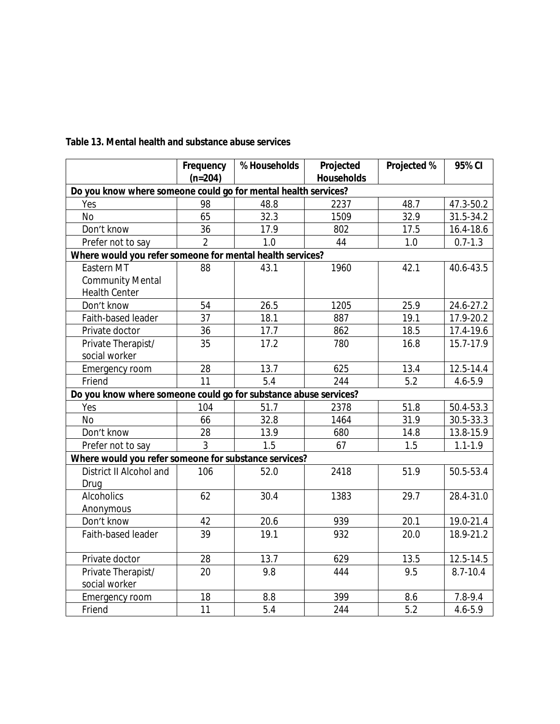|                                                                  | Frequency<br>$(n=204)$ | % Households | Projected<br><b>Households</b> | Projected % | 95% CI      |  |  |  |
|------------------------------------------------------------------|------------------------|--------------|--------------------------------|-------------|-------------|--|--|--|
| Do you know where someone could go for mental health services?   |                        |              |                                |             |             |  |  |  |
| Yes                                                              | 98                     | 48.8         | 2237                           | 48.7        | 47.3-50.2   |  |  |  |
| No                                                               | 65                     | 32.3         | 1509                           | 32.9        | 31.5-34.2   |  |  |  |
| Don't know                                                       | 36                     | 17.9         | 802                            | 17.5        | 16.4-18.6   |  |  |  |
| Prefer not to say                                                | $\overline{2}$         | 1.0          | 44                             | 1.0         | $0.7 - 1.3$ |  |  |  |
| Where would you refer someone for mental health services?        |                        |              |                                |             |             |  |  |  |
| Eastern MT                                                       | 88                     | 43.1         | 1960                           | 42.1        | 40.6-43.5   |  |  |  |
| <b>Community Mental</b>                                          |                        |              |                                |             |             |  |  |  |
| <b>Health Center</b>                                             |                        |              |                                |             |             |  |  |  |
| Don't know                                                       | 54                     | 26.5         | 1205                           | 25.9        | 24.6-27.2   |  |  |  |
| Faith-based leader                                               | 37                     | 18.1         | 887                            | 19.1        | 17.9-20.2   |  |  |  |
| Private doctor                                                   | 36                     | 17.7         | 862                            | 18.5        | 17.4-19.6   |  |  |  |
| Private Therapist/                                               | 35                     | 17.2         | 780                            | 16.8        | 15.7-17.9   |  |  |  |
| social worker                                                    |                        |              |                                |             |             |  |  |  |
| Emergency room                                                   | 28                     | 13.7         | 625                            | 13.4        | 12.5-14.4   |  |  |  |
| Friend                                                           | 11                     | 5.4          | 244                            | 5.2         | 4.6-5.9     |  |  |  |
| Do you know where someone could go for substance abuse services? |                        |              |                                |             |             |  |  |  |
| Yes                                                              | 104                    | 51.7         | 2378                           | 51.8        | 50.4-53.3   |  |  |  |
| <b>No</b>                                                        | 66                     | 32.8         | 1464                           | 31.9        | 30.5-33.3   |  |  |  |
| Don't know                                                       | 28                     | 13.9         | 680                            | 14.8        | 13.8-15.9   |  |  |  |
| Prefer not to say                                                | 3                      | 1.5          | 67                             | 1.5         | $1.1 - 1.9$ |  |  |  |
| Where would you refer someone for substance services?            |                        |              |                                |             |             |  |  |  |
| District II Alcohol and                                          | 106                    | 52.0         | 2418                           | 51.9        | 50.5-53.4   |  |  |  |
| Drug                                                             |                        |              |                                |             |             |  |  |  |
| <b>Alcoholics</b>                                                | 62                     | 30.4         | 1383                           | 29.7        | 28.4-31.0   |  |  |  |
| Anonymous                                                        |                        |              |                                |             |             |  |  |  |
| Don't know                                                       | 42                     | 20.6         | 939                            | 20.1        | 19.0-21.4   |  |  |  |
| Faith-based leader                                               | 39                     | 19.1         | 932                            | 20.0        | 18.9-21.2   |  |  |  |
|                                                                  |                        |              |                                |             |             |  |  |  |
| Private doctor                                                   | 28                     | 13.7         | 629                            | 13.5        | 12.5-14.5   |  |  |  |
| Private Therapist/                                               | 20                     | 9.8          | 444                            | 9.5         | 8.7-10.4    |  |  |  |
| social worker                                                    |                        |              |                                |             |             |  |  |  |
| Emergency room                                                   | 18                     | 8.8          | 399                            | 8.6         | 7.8-9.4     |  |  |  |
| Friend                                                           | 11                     | 5.4          | 244                            | 5.2         | $4.6 - 5.9$ |  |  |  |

#### **Table 13. Mental health and substance abuse services**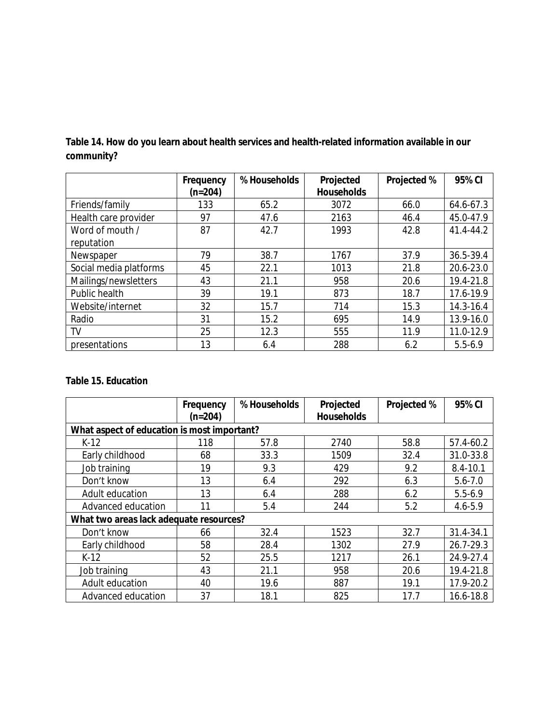|                        | Frequency<br>$(n=204)$ | % Households | Projected<br><b>Households</b> | <b>Projected %</b> | 95% CI      |
|------------------------|------------------------|--------------|--------------------------------|--------------------|-------------|
| Friends/family         | 133                    | 65.2         | 3072                           | 66.0               | 64.6-67.3   |
| Health care provider   | 97                     | 47.6         | 2163                           | 46.4               | 45.0-47.9   |
| Word of mouth /        | 87                     | 42.7         | 1993                           | 42.8               | 41.4-44.2   |
| reputation             |                        |              |                                |                    |             |
| Newspaper              | 79                     | 38.7         | 1767                           | 37.9               | 36.5-39.4   |
| Social media platforms | 45                     | 22.1         | 1013                           | 21.8               | 20.6-23.0   |
| Mailings/newsletters   | 43                     | 21.1         | 958                            | 20.6               | 19.4-21.8   |
| Public health          | 39                     | 19.1         | 873                            | 18.7               | 17.6-19.9   |
| Website/internet       | 32                     | 15.7         | 714                            | 15.3               | 14.3-16.4   |
| Radio                  | 31                     | 15.2         | 695                            | 14.9               | 13.9-16.0   |
| TV                     | 25                     | 12.3         | 555                            | 11.9               | 11.0-12.9   |
| presentations          | 13                     | 6.4          | 288                            | 6.2                | $5.5 - 6.9$ |

**Table 14. How do you learn about health services and health-related information available in our community?**

### **Table 15. Education**

|                                         | Frequency<br>$(n=204)$                      | % Households | Projected<br><b>Households</b> | Projected % | 95% CI       |  |  |  |  |  |
|-----------------------------------------|---------------------------------------------|--------------|--------------------------------|-------------|--------------|--|--|--|--|--|
|                                         | What aspect of education is most important? |              |                                |             |              |  |  |  |  |  |
| $K-12$                                  | 118                                         | 57.8         | 2740                           | 58.8        | 57.4-60.2    |  |  |  |  |  |
| Early childhood                         | 68                                          | 33.3         | 1509                           | 32.4        | 31.0-33.8    |  |  |  |  |  |
| Job training                            | 19                                          | 9.3          | 429                            | 9.2         | $8.4 - 10.1$ |  |  |  |  |  |
| Don't know                              | 13                                          | 6.4          | 292                            | 6.3         | $5.6 - 7.0$  |  |  |  |  |  |
| Adult education                         | 13                                          | 6.4          | 288                            | 6.2         | $5.5 - 6.9$  |  |  |  |  |  |
| Advanced education                      | 11                                          | 5.4          | 244                            | 5.2         | $4.6 - 5.9$  |  |  |  |  |  |
| What two areas lack adequate resources? |                                             |              |                                |             |              |  |  |  |  |  |
| Don't know                              | 66                                          | 32.4         | 1523                           | 32.7        | 31.4-34.1    |  |  |  |  |  |
| Early childhood                         | 58                                          | 28.4         | 1302                           | 27.9        | 26.7-29.3    |  |  |  |  |  |
| $K-12$                                  | 52                                          | 25.5         | 1217                           | 26.1        | 24.9-27.4    |  |  |  |  |  |
| Job training                            | 43                                          | 21.1         | 958                            | 20.6        | 19.4-21.8    |  |  |  |  |  |
| Adult education                         | 40                                          | 19.6         | 887                            | 19.1        | 17.9-20.2    |  |  |  |  |  |
| Advanced education                      | 37                                          | 18.1         | 825                            | 17.7        | 16.6-18.8    |  |  |  |  |  |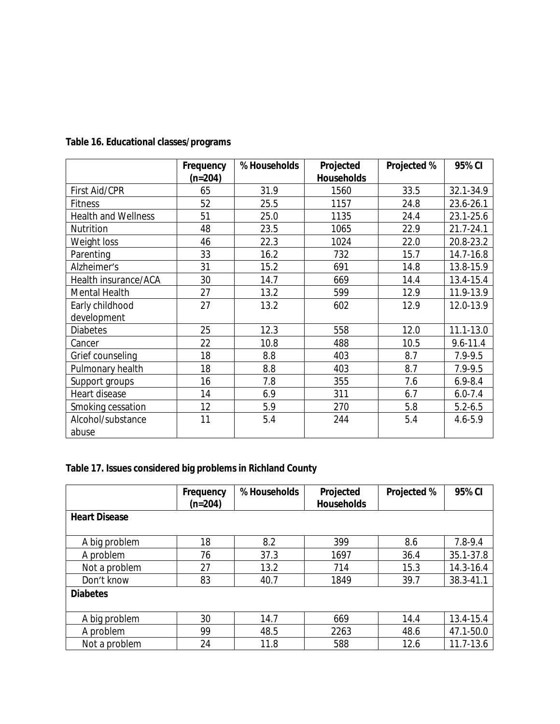|                            | Frequency | % Households | Projected         | Projected % | 95% CI        |
|----------------------------|-----------|--------------|-------------------|-------------|---------------|
|                            | $(n=204)$ |              | <b>Households</b> |             |               |
| First Aid/CPR              | 65        | 31.9         | 1560              | 33.5        | 32.1-34.9     |
| <b>Fitness</b>             | 52        | 25.5         | 1157              | 24.8        | 23.6-26.1     |
| <b>Health and Wellness</b> | 51        | 25.0         | 1135              | 24.4        | 23.1-25.6     |
| Nutrition                  | 48        | 23.5         | 1065              | 22.9        | $21.7 - 24.1$ |
| Weight loss                | 46        | 22.3         | 1024              | 22.0        | 20.8-23.2     |
| Parenting                  | 33        | 16.2         | 732               | 15.7        | 14.7-16.8     |
| Alzheimer's                | 31        | 15.2         | 691               | 14.8        | 13.8-15.9     |
| Health insurance/ACA       | 30        | 14.7         | 669               | 14.4        | 13.4-15.4     |
| Mental Health              | 27        | 13.2         | 599               | 12.9        | 11.9-13.9     |
| Early childhood            | 27        | 13.2         | 602               | 12.9        | 12.0-13.9     |
| development                |           |              |                   |             |               |
| <b>Diabetes</b>            | 25        | 12.3         | 558               | 12.0        | 11.1-13.0     |
| Cancer                     | 22        | 10.8         | 488               | 10.5        | $9.6 - 11.4$  |
| Grief counseling           | 18        | 8.8          | 403               | 8.7         | 7.9-9.5       |
| Pulmonary health           | 18        | 8.8          | 403               | 8.7         | 7.9-9.5       |
| Support groups             | 16        | 7.8          | 355               | 7.6         | $6.9 - 8.4$   |
| Heart disease              | 14        | 6.9          | 311               | 6.7         | $6.0 - 7.4$   |
| Smoking cessation          | 12        | 5.9          | 270               | 5.8         | $5.2 - 6.5$   |
| Alcohol/substance          | 11        | 5.4          | 244               | 5.4         | 4.6-5.9       |
| abuse                      |           |              |                   |             |               |

## **Table 16. Educational classes/programs**

## **Table 17. Issues considered big problems in Richland County**

|                      | Frequency<br>$(n=204)$ | % Households | Projected<br><b>Households</b> | <b>Projected %</b> | 95% CI        |
|----------------------|------------------------|--------------|--------------------------------|--------------------|---------------|
| <b>Heart Disease</b> |                        |              |                                |                    |               |
| A big problem        | 18                     | 8.2          | 399                            | 8.6                | 7.8-9.4       |
| A problem            | 76                     | 37.3         | 1697                           | 36.4               | 35.1-37.8     |
| Not a problem        | 27                     | 13.2         | 714                            | 15.3               | 14.3-16.4     |
| Don't know           | 83                     | 40.7         | 1849                           | 39.7               | 38.3-41.1     |
| <b>Diabetes</b>      |                        |              |                                |                    |               |
| A big problem        | 30                     | 14.7         | 669                            | 14.4               | 13.4-15.4     |
| A problem            | 99                     | 48.5         | 2263                           | 48.6               | 47.1-50.0     |
| Not a problem        | 24                     | 11.8         | 588                            | 12.6               | $11.7 - 13.6$ |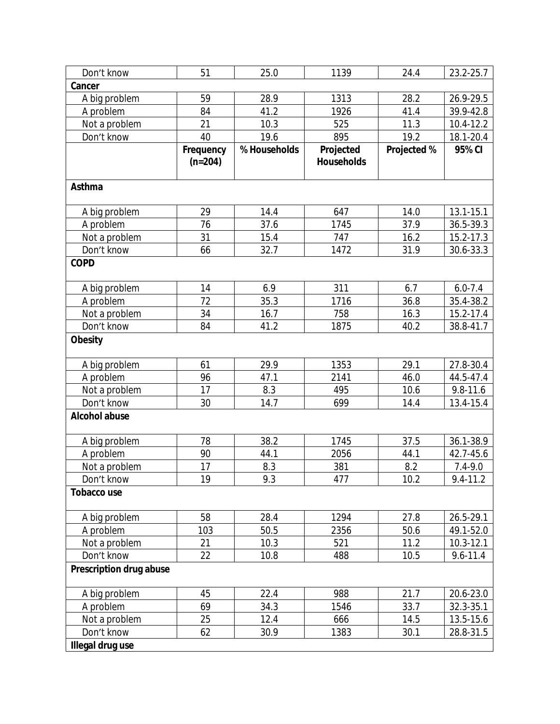| Don't know              | 51                     | 25.0         | 1139                           | 24.4        | 23.2-25.7     |
|-------------------------|------------------------|--------------|--------------------------------|-------------|---------------|
| Cancer                  |                        |              |                                |             |               |
| A big problem           | 59                     | 28.9         | 1313                           | 28.2        | 26.9-29.5     |
| A problem               | 84                     | 41.2         | 1926                           | 41.4        | 39.9-42.8     |
| Not a problem           | 21                     | 10.3         | 525                            | 11.3        | 10.4-12.2     |
| Don't know              | 40                     | 19.6         | 895                            | 19.2        | 18.1-20.4     |
|                         | Frequency<br>$(n=204)$ | % Households | Projected<br><b>Households</b> | Projected % | 95% CI        |
| Asthma                  |                        |              |                                |             |               |
| A big problem           | 29                     | 14.4         | 647                            | 14.0        | 13.1-15.1     |
| A problem               | 76                     | 37.6         | 1745                           | 37.9        | 36.5-39.3     |
| Not a problem           | 31                     | 15.4         | 747                            | 16.2        | 15.2-17.3     |
| Don't know              | 66                     | 32.7         | 1472                           | 31.9        | 30.6-33.3     |
| <b>COPD</b>             |                        |              |                                |             |               |
| A big problem           | 14                     | 6.9          | 311                            | 6.7         | $6.0 - 7.4$   |
| A problem               | 72                     | 35.3         | 1716                           | 36.8        | 35.4-38.2     |
| Not a problem           | 34                     | 16.7         | 758                            | 16.3        | 15.2-17.4     |
| Don't know              | 84                     | 41.2         | 1875                           | 40.2        | 38.8-41.7     |
| <b>Obesity</b>          |                        |              |                                |             |               |
| A big problem           | 61                     | 29.9         | 1353                           | 29.1        | 27.8-30.4     |
| A problem               | 96                     | 47.1         | 2141                           | 46.0        | 44.5-47.4     |
| Not a problem           | 17                     | 8.3          | 495                            | 10.6        | $9.8 - 11.6$  |
| Don't know              | 30                     | 14.7         | 699                            | 14.4        | 13.4-15.4     |
| <b>Alcohol abuse</b>    |                        |              |                                |             |               |
| A big problem           | 78                     | 38.2         | 1745                           | 37.5        | 36.1-38.9     |
| A problem               | 90                     | 44.1         | 2056                           | 44.1        | 42.7-45.6     |
| Not a problem           | 17                     | 8.3          | 381                            | 8.2         | $7.4 - 9.0$   |
| Don't know              | 19                     | 9.3          | 477                            | 10.2        | 9.4-11.2      |
| <b>Tobacco use</b>      |                        |              |                                |             |               |
| A big problem           | 58                     | 28.4         | 1294                           | 27.8        | 26.5-29.1     |
| A problem               | 103                    | 50.5         | 2356                           | 50.6        | 49.1-52.0     |
| Not a problem           | 21                     | 10.3         | 521                            | 11.2        | $10.3 - 12.1$ |
| Don't know              | 22                     | 10.8         | 488                            | 10.5        | $9.6 - 11.4$  |
| Prescription drug abuse |                        |              |                                |             |               |
| A big problem           | 45                     | 22.4         | 988                            | 21.7        | 20.6-23.0     |
| A problem               | 69                     | 34.3         | 1546                           | 33.7        | 32.3-35.1     |
| Not a problem           | 25                     | 12.4         | 666                            | 14.5        | 13.5-15.6     |
| Don't know              | 62                     | 30.9         | 1383                           | 30.1        | 28.8-31.5     |
| Illegal drug use        |                        |              |                                |             |               |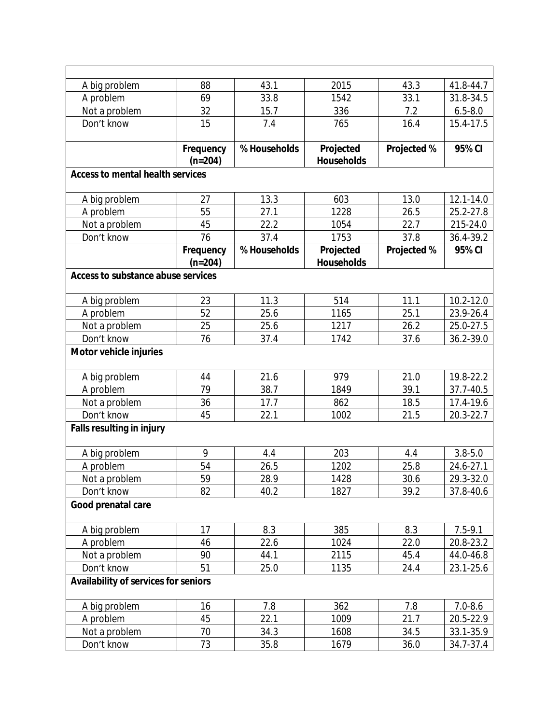| A big problem                           | 88                     | 43.1         | 2015                           | 43.3        | 41.8-44.7   |
|-----------------------------------------|------------------------|--------------|--------------------------------|-------------|-------------|
| A problem                               | 69                     | 33.8         | 1542                           | 33.1        | 31.8-34.5   |
| Not a problem                           | 32                     | 15.7         | 336                            | 7.2         | $6.5 - 8.0$ |
| Don't know                              | 15                     | 7.4          | 765                            | 16.4        | 15.4-17.5   |
|                                         | Frequency<br>$(n=204)$ | % Households | Projected<br><b>Households</b> | Projected % | 95% CI      |
| <b>Access to mental health services</b> |                        |              |                                |             |             |
| A big problem                           | 27                     | 13.3         | 603                            | 13.0        | 12.1-14.0   |
| A problem                               | 55                     | 27.1         | 1228                           | 26.5        | 25.2-27.8   |
| Not a problem                           | 45                     | 22.2         | 1054                           | 22.7        | 215-24.0    |
| Don't know                              | 76                     | 37.4         | 1753                           | 37.8        | 36.4-39.2   |
|                                         | Frequency              | % Households | Projected                      | Projected % | 95% CI      |
|                                         | $(n=204)$              |              | <b>Households</b>              |             |             |
| Access to substance abuse services      |                        |              |                                |             |             |
|                                         |                        |              |                                |             |             |
| A big problem                           | 23                     | 11.3         | 514                            | 11.1        | 10.2-12.0   |
| A problem                               | 52                     | 25.6         | 1165                           | 25.1        | 23.9-26.4   |
| Not a problem                           | 25                     | 25.6         | 1217                           | 26.2        | 25.0-27.5   |
| Don't know                              | 76                     | 37.4         | 1742                           | 37.6        | 36.2-39.0   |
| Motor vehicle injuries                  |                        |              |                                |             |             |
| A big problem                           | 44                     | 21.6         | 979                            | 21.0        | 19.8-22.2   |
| A problem                               | 79                     | 38.7         | 1849                           | 39.1        | 37.7-40.5   |
| Not a problem                           | 36                     | 17.7         | 862                            | 18.5        | 17.4-19.6   |
| Don't know                              | 45                     | 22.1         | 1002                           | 21.5        | 20.3-22.7   |
| <b>Falls resulting in injury</b>        |                        |              |                                |             |             |
| A big problem                           | 9                      | 4.4          | 203                            | 4.4         | $3.8 - 5.0$ |
| A problem                               | 54                     | 26.5         | 1202                           | 25.8        | 24.6-27.1   |
| Not a problem                           | 59                     | 28.9         | 1428                           | 30.6        | 29.3-32.0   |
| Don't know                              | 82                     | 40.2         | 1827                           | 39.2        | 37.8-40.6   |
| Good prenatal care                      |                        |              |                                |             |             |
| A big problem                           | 17                     | 8.3          | 385                            | 8.3         | $7.5 - 9.1$ |
| A problem                               | 46                     | 22.6         | 1024                           | 22.0        | 20.8-23.2   |
| Not a problem                           | 90                     | 44.1         | 2115                           | 45.4        | 44.0-46.8   |
| Don't know                              | 51                     | 25.0         | 1135                           | 24.4        | 23.1-25.6   |
| Availability of services for seniors    |                        |              |                                |             |             |
| A big problem                           | 16                     | 7.8          | 362                            | 7.8         | $7.0 - 8.6$ |
| A problem                               | 45                     | 22.1         | 1009                           | 21.7        | 20.5-22.9   |
| Not a problem                           | 70                     | 34.3         | 1608                           | 34.5        | 33.1-35.9   |
| Don't know                              | 73                     | 35.8         | 1679                           | 36.0        | 34.7-37.4   |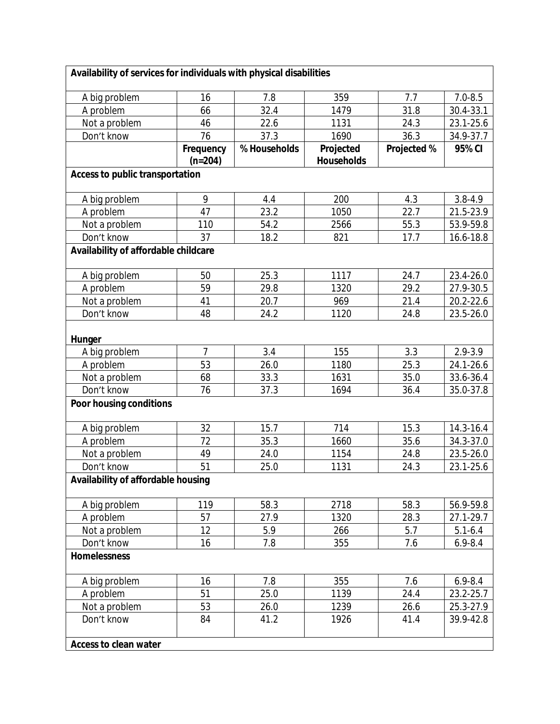| Availability of services for individuals with physical disabilities |                        |              |                                |             |             |
|---------------------------------------------------------------------|------------------------|--------------|--------------------------------|-------------|-------------|
| A big problem                                                       | 16                     | 7.8          | 359                            | 7.7         | $7.0 - 8.5$ |
| A problem                                                           | 66                     | 32.4         | 1479                           | 31.8        | 30.4-33.1   |
| Not a problem                                                       | 46                     | 22.6         | 1131                           | 24.3        | 23.1-25.6   |
| Don't know                                                          | 76                     | 37.3         | 1690                           | 36.3        | 34.9-37.7   |
|                                                                     | Frequency<br>$(n=204)$ | % Households | Projected<br><b>Households</b> | Projected % | 95% CI      |
| <b>Access to public transportation</b>                              |                        |              |                                |             |             |
| A big problem                                                       | 9                      | 4.4          | 200                            | 4.3         | $3.8 - 4.9$ |
| A problem                                                           | 47                     | 23.2         | 1050                           | 22.7        | 21.5-23.9   |
| Not a problem                                                       | 110                    | 54.2         | 2566                           | 55.3        | 53.9-59.8   |
| Don't know                                                          | 37                     | 18.2         | 821                            | 17.7        | 16.6-18.8   |
| Availability of affordable childcare                                |                        |              |                                |             |             |
| A big problem                                                       | 50                     | 25.3         | 1117                           | 24.7        | 23.4-26.0   |
| A problem                                                           | 59                     | 29.8         | 1320                           | 29.2        | 27.9-30.5   |
| Not a problem                                                       | 41                     | 20.7         | 969                            | 21.4        | 20.2-22.6   |
| Don't know                                                          | 48                     | 24.2         | 1120                           | 24.8        | 23.5-26.0   |
| Hunger                                                              |                        |              |                                |             |             |
| A big problem                                                       | $\overline{7}$         | 3.4          | 155                            | 3.3         | $2.9 - 3.9$ |
| A problem                                                           | 53                     | 26.0         | 1180                           | 25.3        | 24.1-26.6   |
| Not a problem                                                       | 68                     | 33.3         | 1631                           | 35.0        | 33.6-36.4   |
| Don't know                                                          | 76                     | 37.3         | 1694                           | 36.4        | 35.0-37.8   |
| Poor housing conditions                                             |                        |              |                                |             |             |
| A big problem                                                       | 32                     | 15.7         | 714                            | 15.3        | 14.3-16.4   |
| A problem                                                           | 72                     | 35.3         | 1660                           | 35.6        | 34.3-37.0   |
| Not a problem                                                       | 49                     | 24.0         | 1154                           | 24.8        | 23.5-26.0   |
| Don't know                                                          | 51                     | 25.0         | 1131                           | 24.3        | 23.1-25.6   |
| Availability of affordable housing                                  |                        |              |                                |             |             |
| A big problem                                                       | 119                    | 58.3         | 2718                           | 58.3        | 56.9-59.8   |
| A problem                                                           | 57                     | 27.9         | 1320                           | 28.3        | 27.1-29.7   |
| Not a problem                                                       | 12                     | 5.9          | 266                            | 5.7         | $5.1 - 6.4$ |
| Don't know                                                          | 16                     | 7.8          | 355                            | 7.6         | $6.9 - 8.4$ |
| <b>Homelessness</b>                                                 |                        |              |                                |             |             |
| A big problem                                                       | 16                     | 7.8          | 355                            | 7.6         | $6.9 - 8.4$ |
| A problem                                                           | 51                     | 25.0         | 1139                           | 24.4        | 23.2-25.7   |
| Not a problem                                                       | 53                     | 26.0         | 1239                           | 26.6        | 25.3-27.9   |
| Don't know                                                          | 84                     | 41.2         | 1926                           | 41.4        | 39.9-42.8   |
| <b>Access to clean water</b>                                        |                        |              |                                |             |             |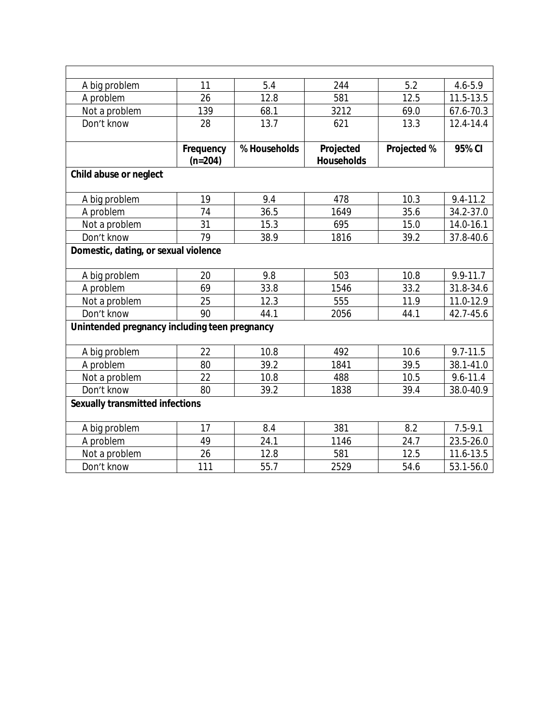| A big problem                                 | 11                     | 5.4          | 244                            | 5.2         | $4.6 - 5.9$  |  |  |  |
|-----------------------------------------------|------------------------|--------------|--------------------------------|-------------|--------------|--|--|--|
| A problem                                     | 26                     | 12.8         | 581                            | 12.5        | 11.5-13.5    |  |  |  |
| Not a problem                                 | 139                    | 68.1         | 3212                           | 69.0        | 67.6-70.3    |  |  |  |
| Don't know                                    | 28                     | 13.7         | 621                            | 13.3        | 12.4-14.4    |  |  |  |
|                                               | Frequency<br>$(n=204)$ | % Households | Projected<br><b>Households</b> | Projected % | 95% CI       |  |  |  |
| Child abuse or neglect                        |                        |              |                                |             |              |  |  |  |
| A big problem                                 | 19                     | 9.4          | 478                            | 10.3        | $9.4 - 11.2$ |  |  |  |
| A problem                                     | 74                     | 36.5         | 1649                           | 35.6        | 34.2-37.0    |  |  |  |
| Not a problem                                 | 31                     | 15.3         | 695                            | 15.0        | 14.0-16.1    |  |  |  |
| Don't know                                    | 79                     | 38.9         | 1816                           | 39.2        | 37.8-40.6    |  |  |  |
| Domestic, dating, or sexual violence          |                        |              |                                |             |              |  |  |  |
| A big problem                                 | 20                     | 9.8          | 503                            | 10.8        | 9.9-11.7     |  |  |  |
| A problem                                     | 69                     | 33.8         | 1546                           | 33.2        | 31.8-34.6    |  |  |  |
| Not a problem                                 | 25                     | 12.3         | 555                            | 11.9        | 11.0-12.9    |  |  |  |
| Don't know                                    | 90                     | 44.1         | 2056                           | 44.1        | 42.7-45.6    |  |  |  |
| Unintended pregnancy including teen pregnancy |                        |              |                                |             |              |  |  |  |
| A big problem                                 | 22                     | 10.8         | 492                            | 10.6        | $9.7 - 11.5$ |  |  |  |
| A problem                                     | 80                     | 39.2         | 1841                           | 39.5        | 38.1-41.0    |  |  |  |
| Not a problem                                 | 22                     | 10.8         | 488                            | 10.5        | $9.6 - 11.4$ |  |  |  |
| Don't know                                    | 80                     | 39.2         | 1838                           | 39.4        | 38.0-40.9    |  |  |  |
| <b>Sexually transmitted infections</b>        |                        |              |                                |             |              |  |  |  |
| A big problem                                 | 17                     | 8.4          | 381                            | 8.2         | $7.5 - 9.1$  |  |  |  |
| A problem                                     | 49                     | 24.1         | 1146                           | 24.7        | 23.5-26.0    |  |  |  |
| Not a problem                                 | 26                     | 12.8         | 581                            | 12.5        | 11.6-13.5    |  |  |  |
| Don't know                                    | 111                    | 55.7         | 2529                           | 54.6        | 53.1-56.0    |  |  |  |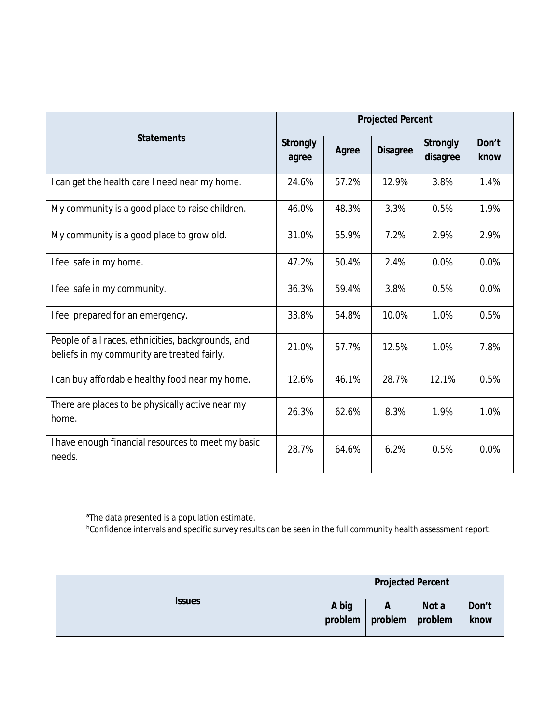|                                                                                                   | <b>Projected Percent</b> |       |                 |                             |               |  |
|---------------------------------------------------------------------------------------------------|--------------------------|-------|-----------------|-----------------------------|---------------|--|
| <b>Statements</b>                                                                                 | <b>Strongly</b><br>agree | Agree | <b>Disagree</b> | <b>Strongly</b><br>disagree | Don't<br>know |  |
| I can get the health care I need near my home.                                                    | 24.6%                    | 57.2% | 12.9%           | 3.8%                        | 1.4%          |  |
| My community is a good place to raise children.                                                   | 46.0%                    | 48.3% | 3.3%            | 0.5%                        | 1.9%          |  |
| My community is a good place to grow old.                                                         | 31.0%                    | 55.9% | 7.2%            | 2.9%                        | 2.9%          |  |
| I feel safe in my home.                                                                           | 47.2%                    | 50.4% | 2.4%            | 0.0%                        | 0.0%          |  |
| I feel safe in my community.                                                                      | 36.3%                    | 59.4% | 3.8%            | 0.5%                        | 0.0%          |  |
| I feel prepared for an emergency.                                                                 | 33.8%                    | 54.8% | 10.0%           | 1.0%                        | 0.5%          |  |
| People of all races, ethnicities, backgrounds, and<br>beliefs in my community are treated fairly. | 21.0%                    | 57.7% | 12.5%           | 1.0%                        | 7.8%          |  |
| I can buy affordable healthy food near my home.                                                   | 12.6%                    | 46.1% | 28.7%           | 12.1%                       | 0.5%          |  |
| There are places to be physically active near my<br>home.                                         | 26.3%                    | 62.6% | 8.3%            | 1.9%                        | 1.0%          |  |
| I have enough financial resources to meet my basic<br>needs.                                      | 28.7%                    | 64.6% | 6.2%            | 0.5%                        | 0.0%          |  |

aThe data presented is a population estimate.

 $^{\rm b}$ Confidence intervals and specific survey results can be seen in the full community health assessment report.

|               | <b>Projected Percent</b> |                        |       |               |
|---------------|--------------------------|------------------------|-------|---------------|
| <b>Issues</b> | A big<br>problem         | A<br>problem   problem | Not a | Don't<br>know |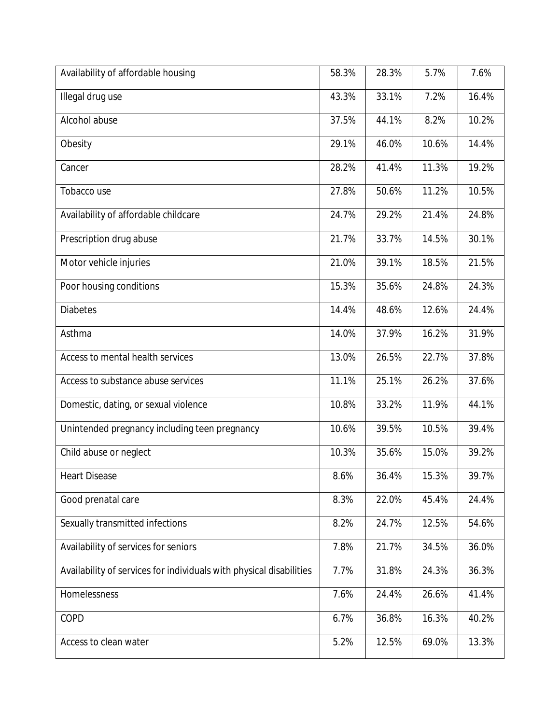| Availability of affordable housing                                  | 58.3% | 28.3% | 5.7%  | 7.6%  |
|---------------------------------------------------------------------|-------|-------|-------|-------|
| Illegal drug use                                                    | 43.3% | 33.1% | 7.2%  | 16.4% |
| Alcohol abuse                                                       | 37.5% | 44.1% | 8.2%  | 10.2% |
| Obesity                                                             | 29.1% | 46.0% | 10.6% | 14.4% |
| Cancer                                                              | 28.2% | 41.4% | 11.3% | 19.2% |
| Tobacco use                                                         | 27.8% | 50.6% | 11.2% | 10.5% |
| Availability of affordable childcare                                | 24.7% | 29.2% | 21.4% | 24.8% |
| Prescription drug abuse                                             | 21.7% | 33.7% | 14.5% | 30.1% |
| Motor vehicle injuries                                              | 21.0% | 39.1% | 18.5% | 21.5% |
| Poor housing conditions                                             | 15.3% | 35.6% | 24.8% | 24.3% |
| <b>Diabetes</b>                                                     | 14.4% | 48.6% | 12.6% | 24.4% |
| Asthma                                                              | 14.0% | 37.9% | 16.2% | 31.9% |
| Access to mental health services                                    | 13.0% | 26.5% | 22.7% | 37.8% |
| Access to substance abuse services                                  | 11.1% | 25.1% | 26.2% | 37.6% |
| Domestic, dating, or sexual violence                                | 10.8% | 33.2% | 11.9% | 44.1% |
| Unintended pregnancy including teen pregnancy                       | 10.6% | 39.5% | 10.5% | 39.4% |
| Child abuse or neglect                                              | 10.3% | 35.6% | 15.0% | 39.2% |
| <b>Heart Disease</b>                                                | 8.6%  | 36.4% | 15.3% | 39.7% |
| Good prenatal care                                                  | 8.3%  | 22.0% | 45.4% | 24.4% |
| Sexually transmitted infections                                     | 8.2%  | 24.7% | 12.5% | 54.6% |
| Availability of services for seniors                                | 7.8%  | 21.7% | 34.5% | 36.0% |
| Availability of services for individuals with physical disabilities | 7.7%  | 31.8% | 24.3% | 36.3% |
| Homelessness                                                        | 7.6%  | 24.4% | 26.6% | 41.4% |
| COPD                                                                | 6.7%  | 36.8% | 16.3% | 40.2% |
| Access to clean water                                               | 5.2%  | 12.5% | 69.0% | 13.3% |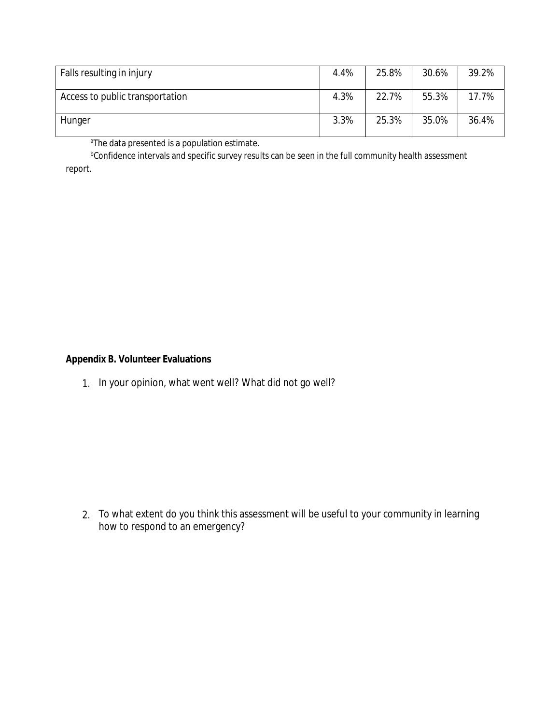| Falls resulting in injury       | 4.4% | 25.8% | 30.6% | 39.2% |
|---------------------------------|------|-------|-------|-------|
| Access to public transportation | 4.3% | 22.7% | 55.3% | 17.7% |
| Hunger                          | 3.3% | 25.3% | 35.0% | 36.4% |

aThe data presented is a population estimate.

bConfidence intervals and specific survey results can be seen in the full community health assessment report.

#### **Appendix B. Volunteer Evaluations**

1. In your opinion, what went well? What did not go well?

2. To what extent do you think this assessment will be useful to your community in learning how to respond to an emergency?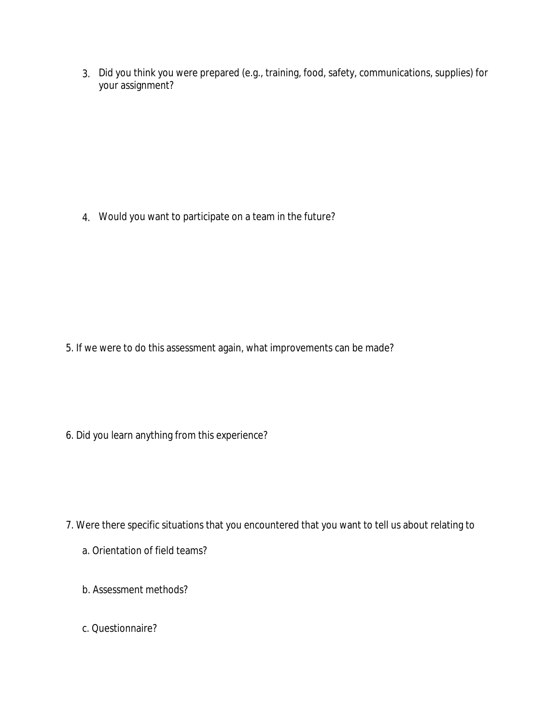3. Did you think you were prepared (e.g., training, food, safety, communications, supplies) for your assignment?

4. Would you want to participate on a team in the future?

5. If we were to do this assessment again, what improvements can be made?

6. Did you learn anything from this experience?

- 7. Were there specific situations that you encountered that you want to tell us about relating to
	- a. Orientation of field teams?
	- b. Assessment methods?
	- c. Questionnaire?